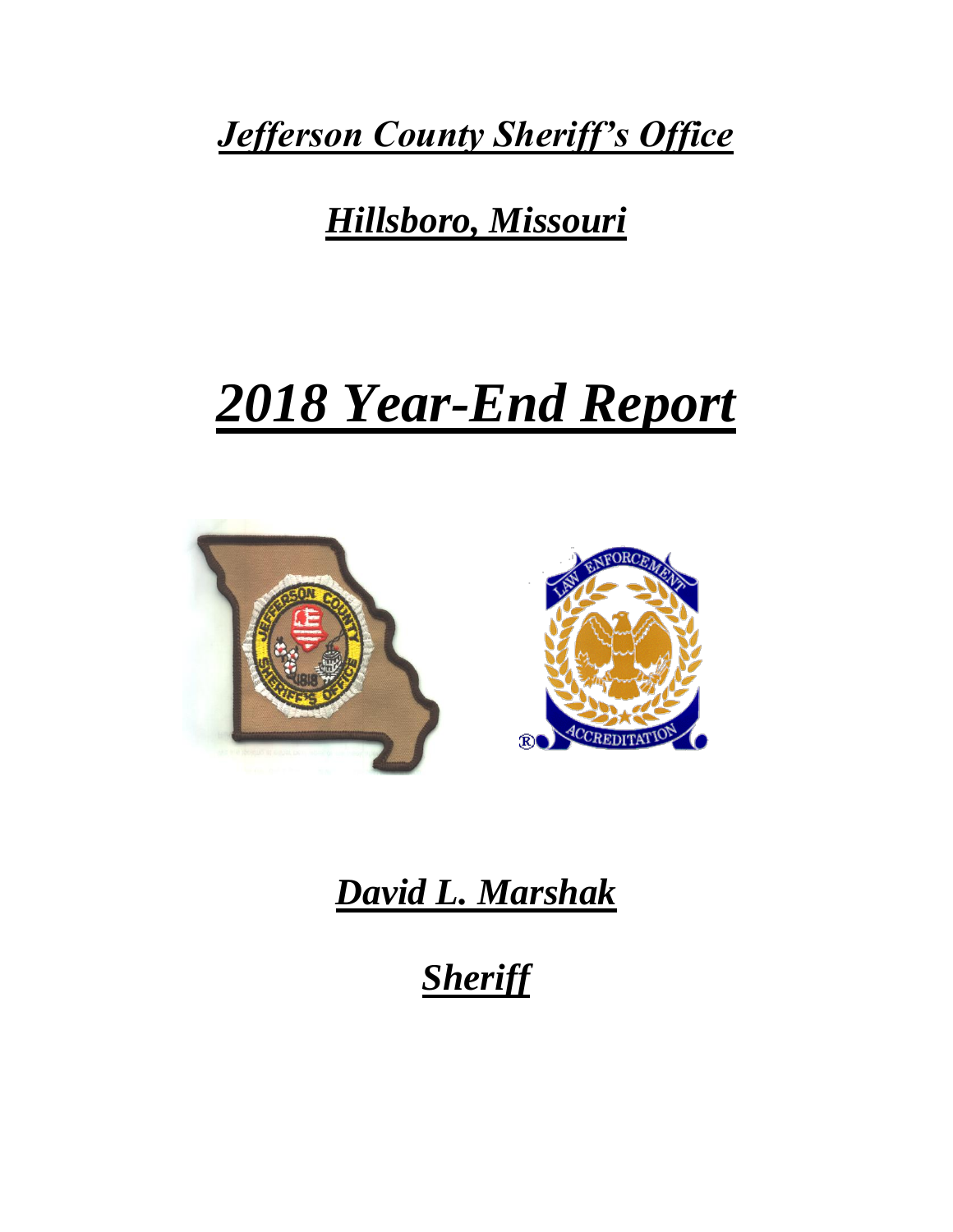*Jefferson County Sheriff's Office*

## *Hillsboro, Missouri*

# *2018 Year-End Report*



## *David L. Marshak*

*Sheriff*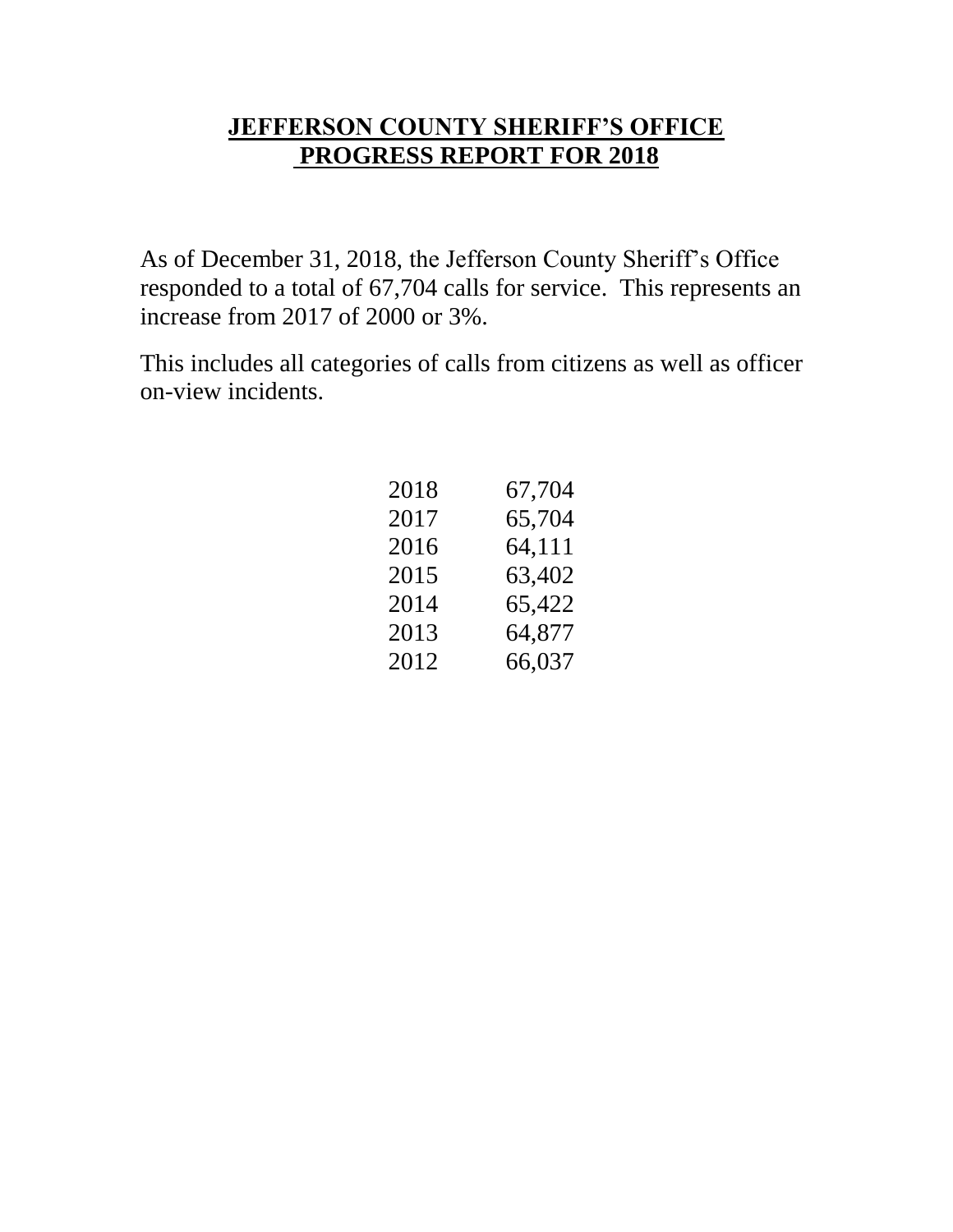#### **JEFFERSON COUNTY SHERIFF'S OFFICE PROGRESS REPORT FOR 2018**

As of December 31, 2018, the Jefferson County Sheriff's Office responded to a total of 67,704 calls for service. This represents an increase from 2017 of 2000 or 3%.

This includes all categories of calls from citizens as well as officer on-view incidents.

| 2018 | 67,704 |
|------|--------|
| 2017 | 65,704 |
| 2016 | 64,111 |
| 2015 | 63,402 |
| 2014 | 65,422 |
| 2013 | 64,877 |
| 2012 | 66,037 |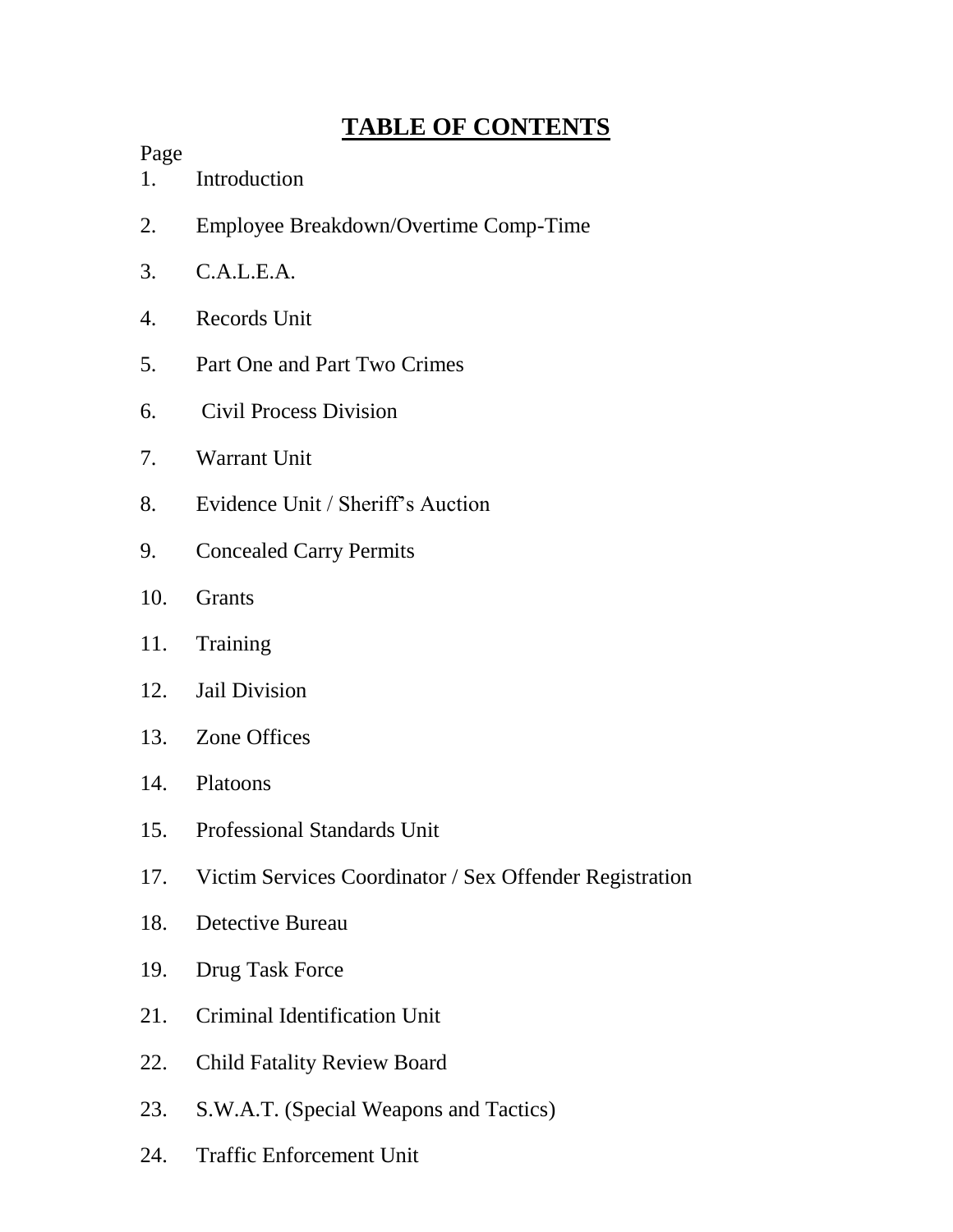## **TABLE OF CONTENTS**

#### Page

- 1. Introduction
- 2. Employee Breakdown/Overtime Comp-Time
- 3. C.A.L.E.A.
- 4. Records Unit
- 5. Part One and Part Two Crimes
- 6. Civil Process Division
- 7. Warrant Unit
- 8. Evidence Unit / Sheriff's Auction
- 9. Concealed Carry Permits
- 10. Grants
- 11. Training
- 12. Jail Division
- 13. Zone Offices
- 14. Platoons
- 15. Professional Standards Unit
- 17. Victim Services Coordinator / Sex Offender Registration
- 18. Detective Bureau
- 19. Drug Task Force
- 21. Criminal Identification Unit
- 22. Child Fatality Review Board
- 23. S.W.A.T. (Special Weapons and Tactics)
- 24. Traffic Enforcement Unit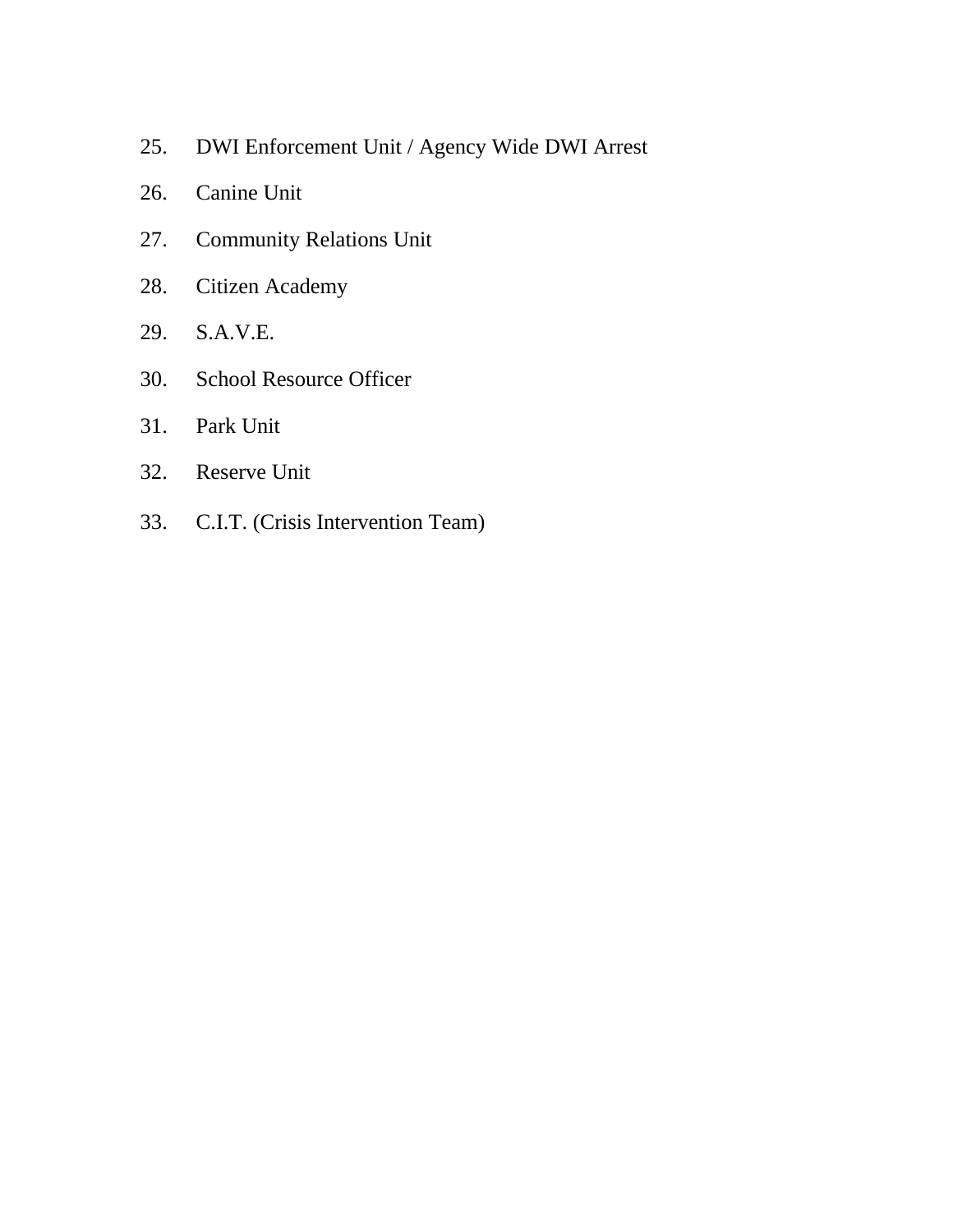- 25. DWI Enforcement Unit / Agency Wide DWI Arrest
- 26. Canine Unit
- 27. Community Relations Unit
- 28. Citizen Academy
- 29. S.A.V.E.
- 30. School Resource Officer
- 31. Park Unit
- 32. Reserve Unit
- 33. C.I.T. (Crisis Intervention Team)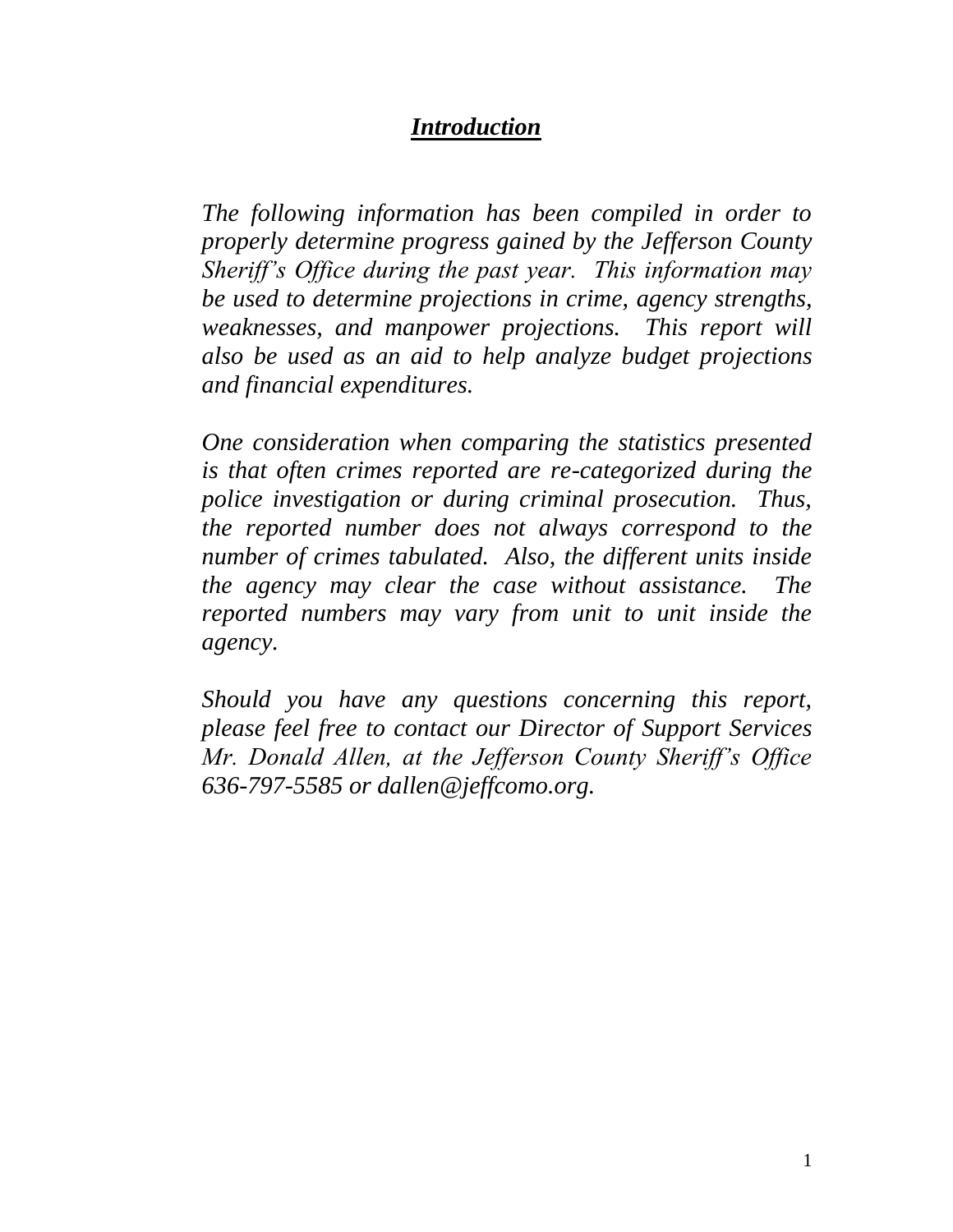#### *Introduction*

*The following information has been compiled in order to properly determine progress gained by the Jefferson County Sheriff's Office during the past year. This information may be used to determine projections in crime, agency strengths, weaknesses, and manpower projections. This report will also be used as an aid to help analyze budget projections and financial expenditures.*

*One consideration when comparing the statistics presented is that often crimes reported are re-categorized during the police investigation or during criminal prosecution. Thus, the reported number does not always correspond to the number of crimes tabulated. Also, the different units inside the agency may clear the case without assistance. The reported numbers may vary from unit to unit inside the agency.* 

*Should you have any questions concerning this report, please feel free to contact our Director of Support Services Mr. Donald Allen, at the Jefferson County Sheriff's Office 636-797-5585 or dallen@jeffcomo.org.*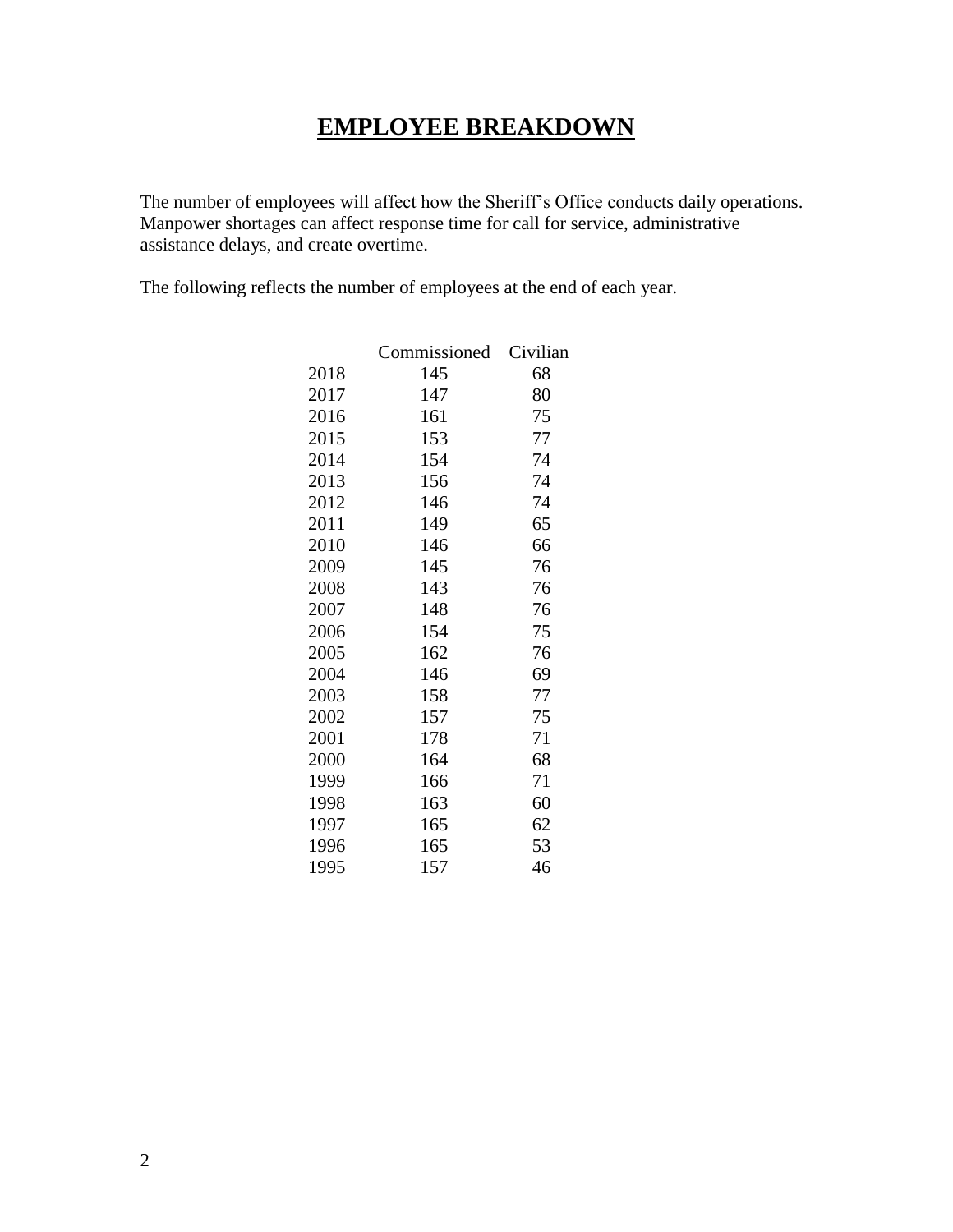#### **EMPLOYEE BREAKDOWN**

The number of employees will affect how the Sheriff's Office conducts daily operations. Manpower shortages can affect response time for call for service, administrative assistance delays, and create overtime.

The following reflects the number of employees at the end of each year.

|      | Commissioned | Civilian |
|------|--------------|----------|
| 2018 | 145          | 68       |
| 2017 | 147          | 80       |
| 2016 | 161          | 75       |
| 2015 | 153          | 77       |
| 2014 | 154          | 74       |
| 2013 | 156          | 74       |
| 2012 | 146          | 74       |
| 2011 | 149          | 65       |
| 2010 | 146          | 66       |
| 2009 | 145          | 76       |
| 2008 | 143          | 76       |
| 2007 | 148          | 76       |
| 2006 | 154          | 75       |
| 2005 | 162          | 76       |
| 2004 | 146          | 69       |
| 2003 | 158          | 77       |
| 2002 | 157          | 75       |
| 2001 | 178          | 71       |
| 2000 | 164          | 68       |
| 1999 | 166          | 71       |
| 1998 | 163          | 60       |
| 1997 | 165          | 62       |
| 1996 | 165          | 53       |
| 1995 | 157          | 46       |
|      |              |          |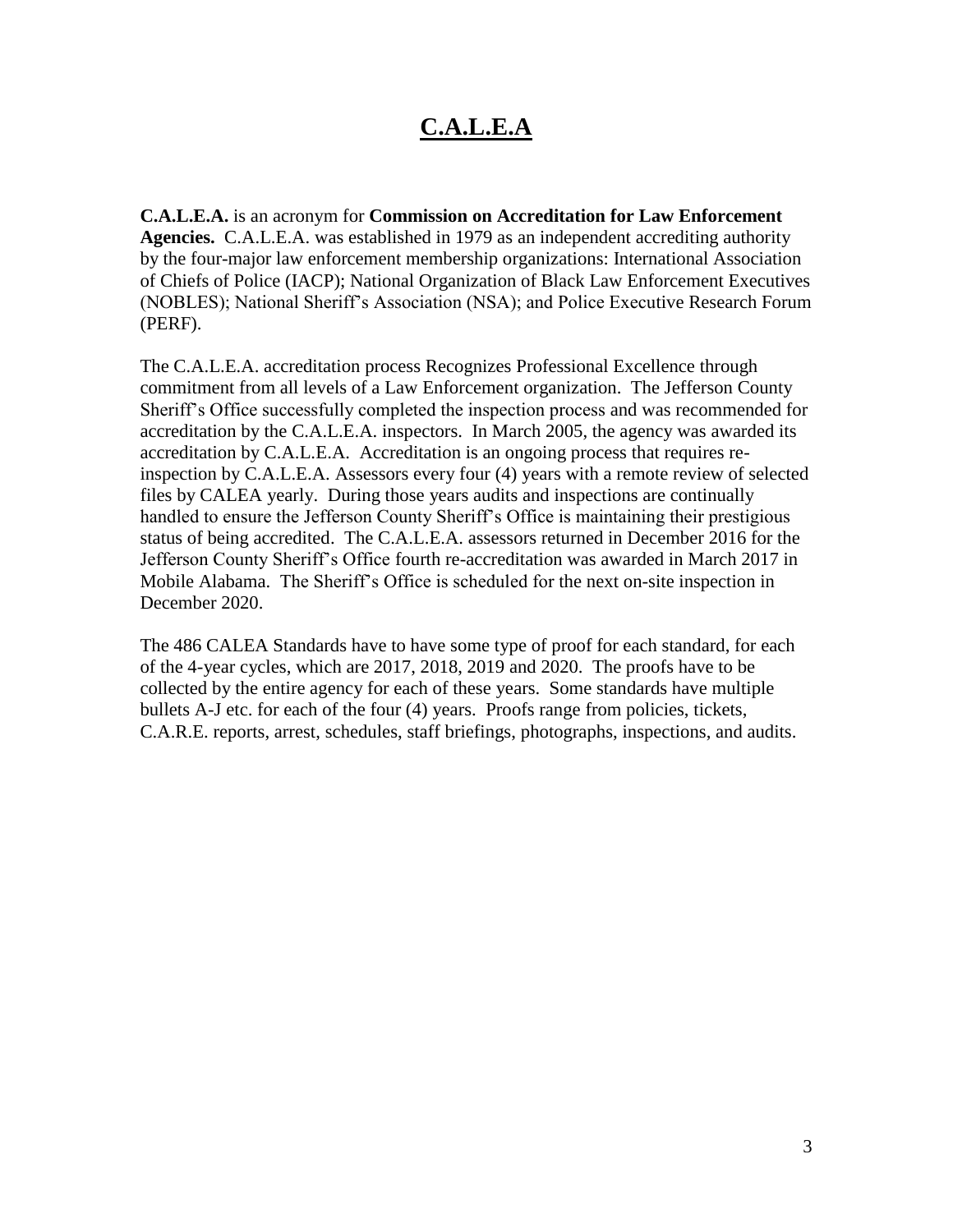## **C.A.L.E.A**

**C.A.L.E.A.** is an acronym for **Commission on Accreditation for Law Enforcement Agencies.** C.A.L.E.A. was established in 1979 as an independent accrediting authority by the four-major law enforcement membership organizations: International Association of Chiefs of Police (IACP); National Organization of Black Law Enforcement Executives (NOBLES); National Sheriff's Association (NSA); and Police Executive Research Forum (PERF).

The C.A.L.E.A. accreditation process Recognizes Professional Excellence through commitment from all levels of a Law Enforcement organization. The Jefferson County Sheriff's Office successfully completed the inspection process and was recommended for accreditation by the C.A.L.E.A. inspectors. In March 2005, the agency was awarded its accreditation by C.A.L.E.A.Accreditation is an ongoing process that requires reinspection by C.A.L.E.A. Assessors every four (4) years with a remote review of selected files by CALEA yearly. During those years audits and inspections are continually handled to ensure the Jefferson County Sheriff's Office is maintaining their prestigious status of being accredited. The C.A.L.E.A. assessors returned in December 2016 for the Jefferson County Sheriff's Office fourth re-accreditation was awarded in March 2017 in Mobile Alabama. The Sheriff's Office is scheduled for the next on-site inspection in December 2020.

The 486 CALEA Standards have to have some type of proof for each standard, for each of the 4-year cycles, which are 2017, 2018, 2019 and 2020. The proofs have to be collected by the entire agency for each of these years. Some standards have multiple bullets A-J etc. for each of the four (4) years. Proofs range from policies, tickets, C.A.R.E. reports, arrest, schedules, staff briefings, photographs, inspections, and audits.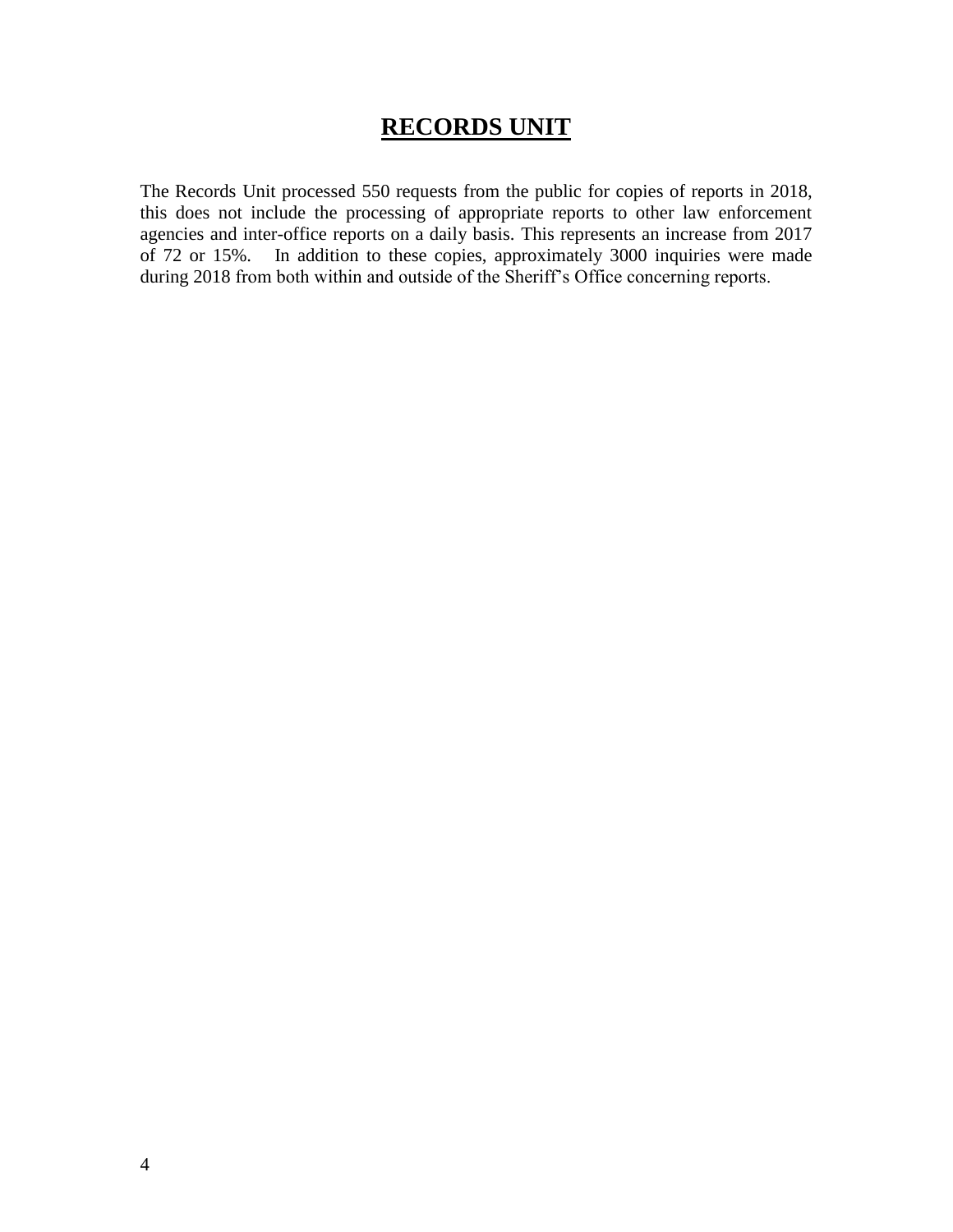#### **RECORDS UNIT**

The Records Unit processed 550 requests from the public for copies of reports in 2018, this does not include the processing of appropriate reports to other law enforcement agencies and inter-office reports on a daily basis. This represents an increase from 2017 of 72 or 15%. In addition to these copies, approximately 3000 inquiries were made during 2018 from both within and outside of the Sheriff's Office concerning reports.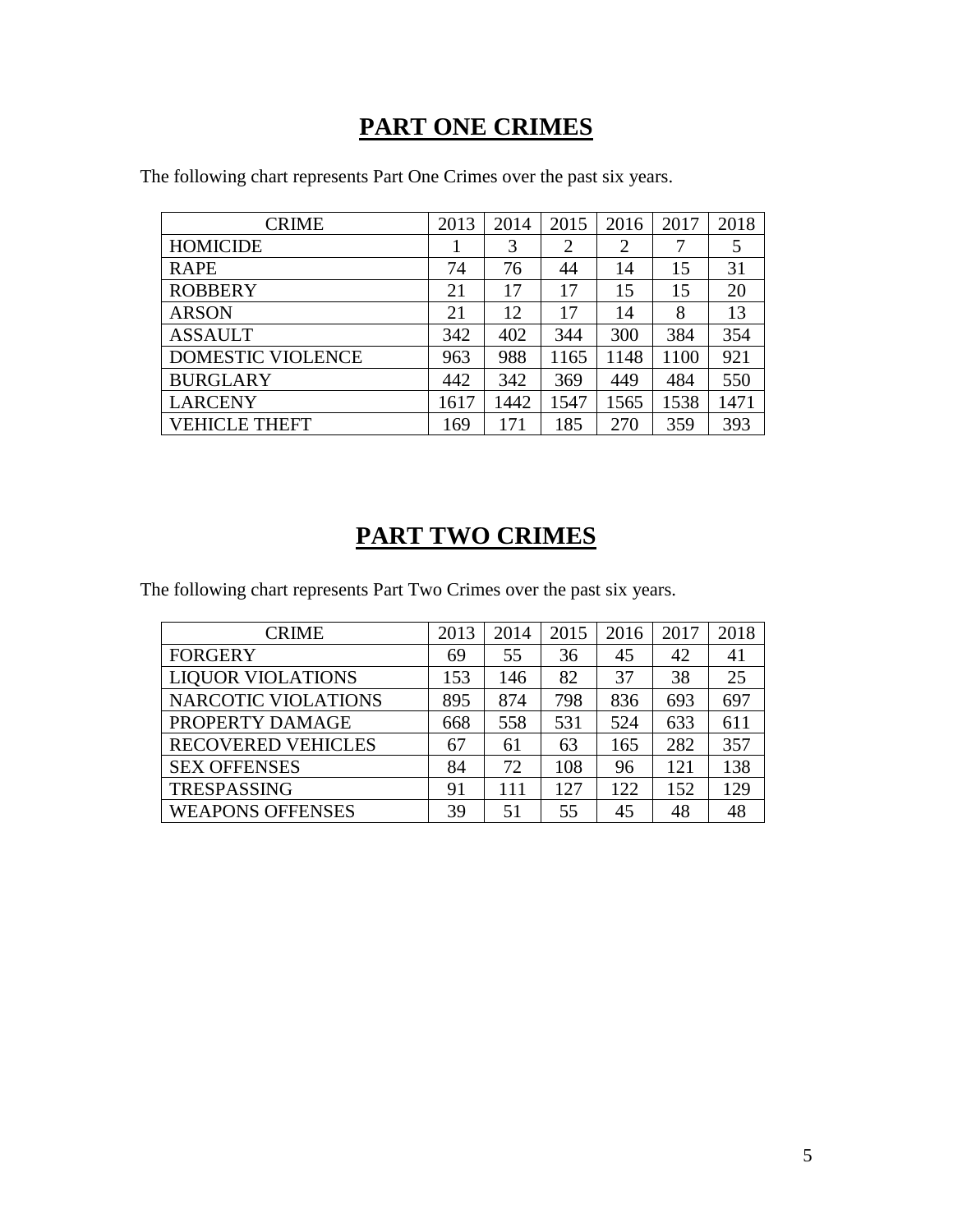## **PART ONE CRIMES**

| <b>CRIME</b>         | 2013 | 2014 | 2015           | 2016 | 2017 | 2018 |
|----------------------|------|------|----------------|------|------|------|
| <b>HOMICIDE</b>      |      | 3    | $\overline{2}$ | 2    | 7    |      |
| <b>RAPE</b>          | 74   | 76   | 44             | 14   | 15   | 31   |
| <b>ROBBERY</b>       | 21   | 17   | 17             | 15   | 15   | 20   |
| <b>ARSON</b>         | 21   | 12   | 17             | 14   | 8    | 13   |
| <b>ASSAULT</b>       | 342  | 402  | 344            | 300  | 384  | 354  |
| DOMESTIC VIOLENCE    | 963  | 988  | 1165           | 1148 | 1100 | 921  |
| <b>BURGLARY</b>      | 442  | 342  | 369            | 449  | 484  | 550  |
| <b>LARCENY</b>       | 1617 | 1442 | 1547           | 1565 | 1538 | 1471 |
| <b>VEHICLE THEFT</b> | 169  | 171  | 185            | 270  | 359  | 393  |

The following chart represents Part One Crimes over the past six years.

## **PART TWO CRIMES**

The following chart represents Part Two Crimes over the past six years.

| <b>CRIME</b>               | 2013 | 2014 | 2015 | 2016 | 2017 | 2018 |
|----------------------------|------|------|------|------|------|------|
| <b>FORGERY</b>             | 69   | 55   | 36   | 45   | 42   | 41   |
| <b>LIQUOR VIOLATIONS</b>   | 153  | 146  | 82   | 37   | 38   | 25   |
| <b>NARCOTIC VIOLATIONS</b> | 895  | 874  | 798  | 836  | 693  | 697  |
| PROPERTY DAMAGE            | 668  | 558  | 531  | 524  | 633  | 611  |
| <b>RECOVERED VEHICLES</b>  | 67   | 61   | 63   | 165  | 282  | 357  |
| <b>SEX OFFENSES</b>        | 84   | 72   | 108  | 96   | 121  | 138  |
| <b>TRESPASSING</b>         | 91   | 111  | 127  | 122  | 152  | 129  |
| <b>WEAPONS OFFENSES</b>    | 39   | 51   | 55   | 45   | 48   | 48   |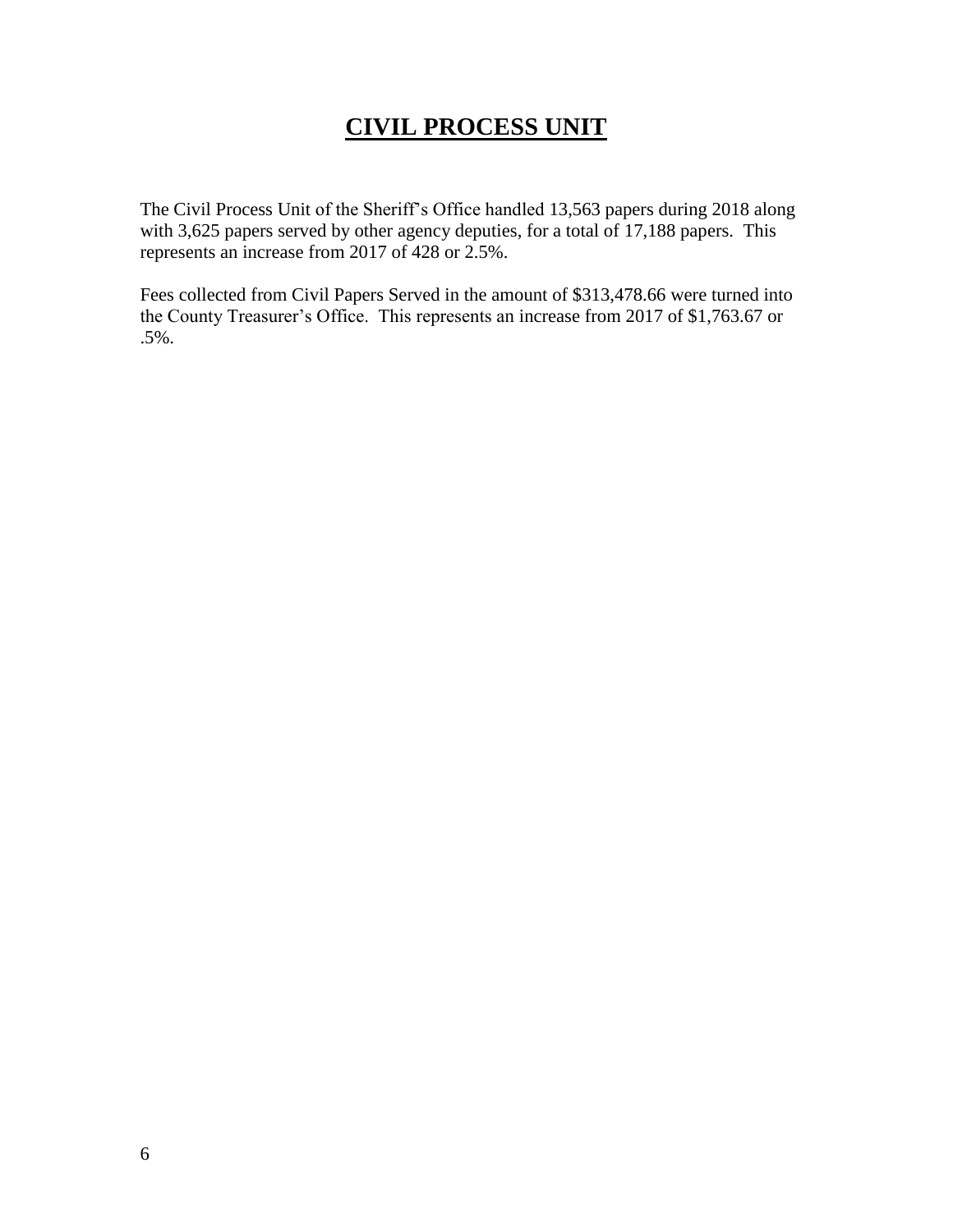## **CIVIL PROCESS UNIT**

The Civil Process Unit of the Sheriff's Office handled 13,563 papers during 2018 along with 3,625 papers served by other agency deputies, for a total of 17,188 papers. This represents an increase from 2017 of 428 or 2.5%.

Fees collected from Civil Papers Served in the amount of \$313,478.66 were turned into the County Treasurer's Office. This represents an increase from 2017 of \$1,763.67 or .5%.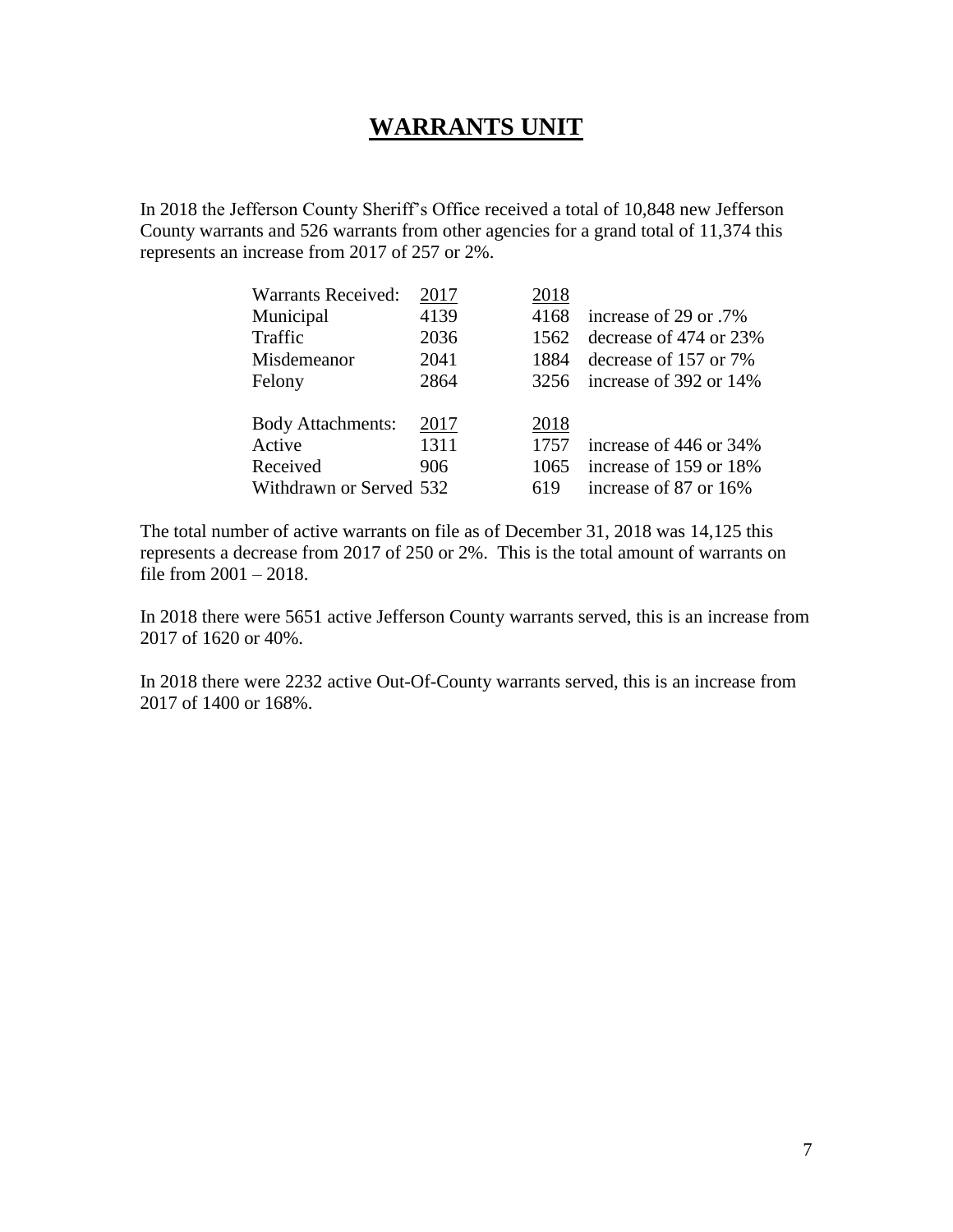#### **WARRANTS UNIT**

In 2018 the Jefferson County Sheriff's Office received a total of 10,848 new Jefferson County warrants and 526 warrants from other agencies for a grand total of 11,374 this represents an increase from 2017 of 257 or 2%.

| <b>Warrants Received:</b> | 2017 | 2018 |                        |
|---------------------------|------|------|------------------------|
| Municipal                 | 4139 | 4168 | increase of 29 or .7%  |
| Traffic                   | 2036 | 1562 | decrease of 474 or 23% |
| Misdemeanor               | 2041 | 1884 | decrease of 157 or 7%  |
| Felony                    | 2864 | 3256 | increase of 392 or 14% |
|                           |      |      |                        |
| <b>Body Attachments:</b>  | 2017 | 2018 |                        |
| Active                    | 1311 | 1757 | increase of 446 or 34% |
| Received                  | 906  | 1065 | increase of 159 or 18% |
| Withdrawn or Served 532   |      | 619  | increase of 87 or 16%  |

The total number of active warrants on file as of December 31, 2018 was 14,125 this represents a decrease from 2017 of 250 or 2%. This is the total amount of warrants on file from 2001 – 2018.

In 2018 there were 5651 active Jefferson County warrants served, this is an increase from 2017 of 1620 or 40%.

In 2018 there were 2232 active Out-Of-County warrants served, this is an increase from 2017 of 1400 or 168%.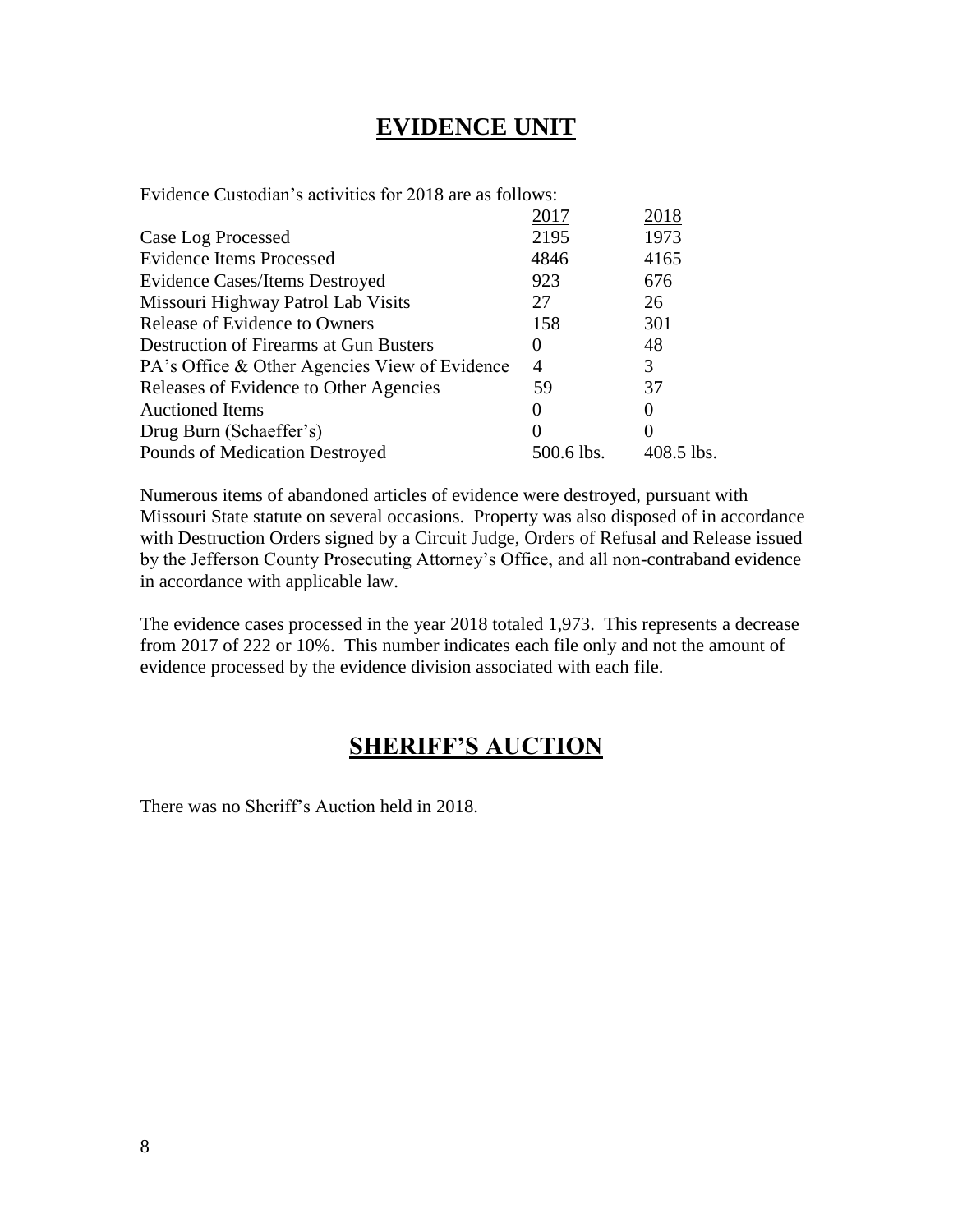#### **EVIDENCE UNIT**

Evidence Custodian's activities for 2018 are as follows:

| 2017              | 2018       |
|-------------------|------------|
| 2195              | 1973       |
| 4846              | 4165       |
| 923               | 676        |
| 27                | 26         |
| 158               | 301        |
| $\mathbf{0}$      | 48         |
| $\overline{A}$    | 3          |
| 59                | 37         |
|                   | $\theta$   |
| $\mathbf{\Omega}$ | $\theta$   |
| 500.6 lbs.        | 408.5 lbs. |
|                   |            |

Numerous items of abandoned articles of evidence were destroyed, pursuant with Missouri State statute on several occasions. Property was also disposed of in accordance with Destruction Orders signed by a Circuit Judge, Orders of Refusal and Release issued by the Jefferson County Prosecuting Attorney's Office, and all non-contraband evidence in accordance with applicable law.

The evidence cases processed in the year 2018 totaled 1,973. This represents a decrease from 2017 of 222 or 10%. This number indicates each file only and not the amount of evidence processed by the evidence division associated with each file.

#### **SHERIFF'S AUCTION**

There was no Sheriff's Auction held in 2018.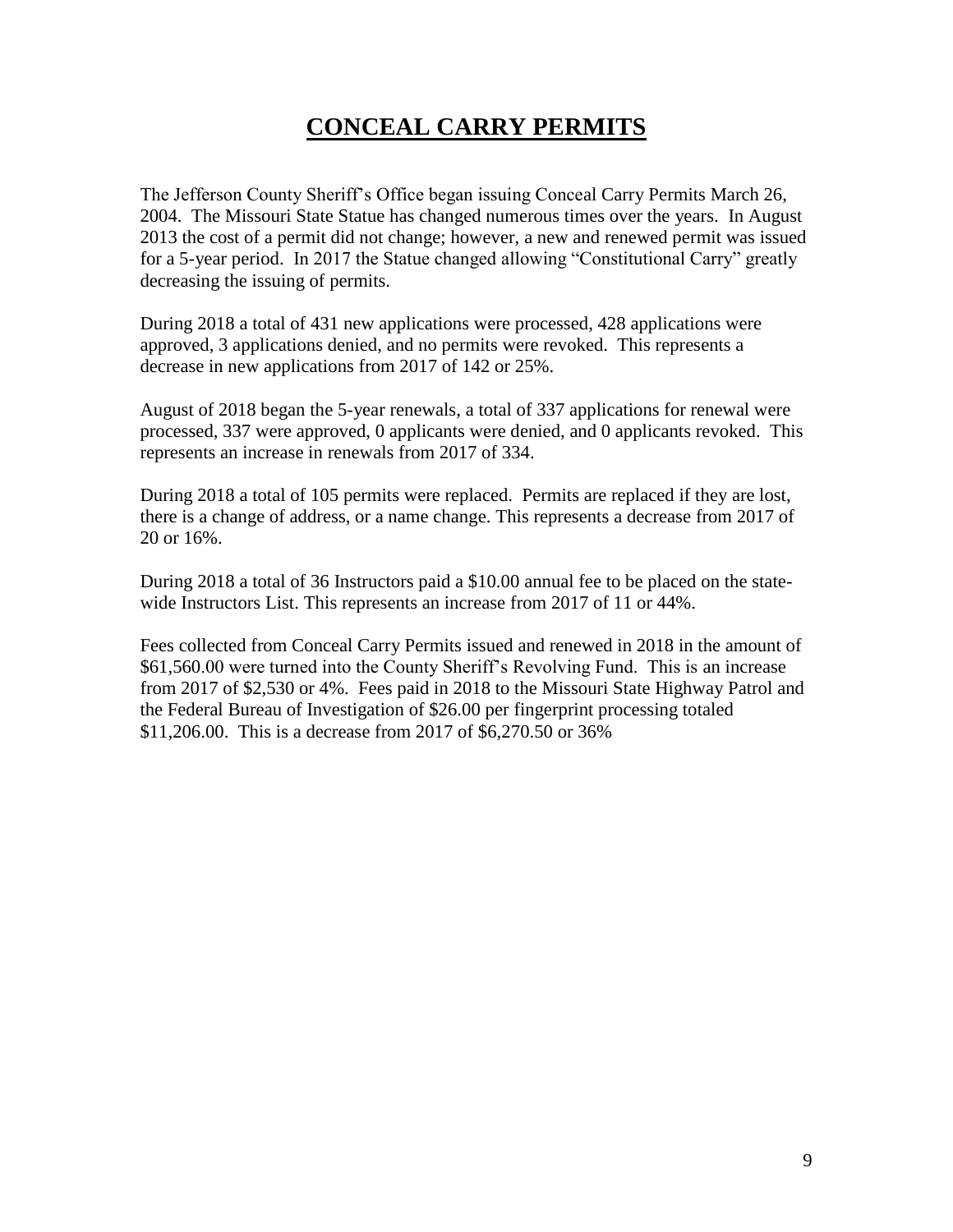## **CONCEAL CARRY PERMITS**

The Jefferson County Sheriff's Office began issuing Conceal Carry Permits March 26, 2004. The Missouri State Statue has changed numerous times over the years. In August 2013 the cost of a permit did not change; however, a new and renewed permit was issued for a 5-year period. In 2017 the Statue changed allowing "Constitutional Carry" greatly decreasing the issuing of permits.

During 2018 a total of 431 new applications were processed, 428 applications were approved, 3 applications denied, and no permits were revoked. This represents a decrease in new applications from 2017 of 142 or 25%.

August of 2018 began the 5-year renewals, a total of 337 applications for renewal were processed, 337 were approved, 0 applicants were denied, and 0 applicants revoked. This represents an increase in renewals from 2017 of 334.

During 2018 a total of 105 permits were replaced. Permits are replaced if they are lost, there is a change of address, or a name change. This represents a decrease from 2017 of 20 or 16%.

During 2018 a total of 36 Instructors paid a \$10.00 annual fee to be placed on the statewide Instructors List. This represents an increase from 2017 of 11 or 44%.

Fees collected from Conceal Carry Permits issued and renewed in 2018 in the amount of \$61,560.00 were turned into the County Sheriff's Revolving Fund. This is an increase from 2017 of \$2,530 or 4%. Fees paid in 2018 to the Missouri State Highway Patrol and the Federal Bureau of Investigation of \$26.00 per fingerprint processing totaled \$11,206.00. This is a decrease from 2017 of \$6,270.50 or 36%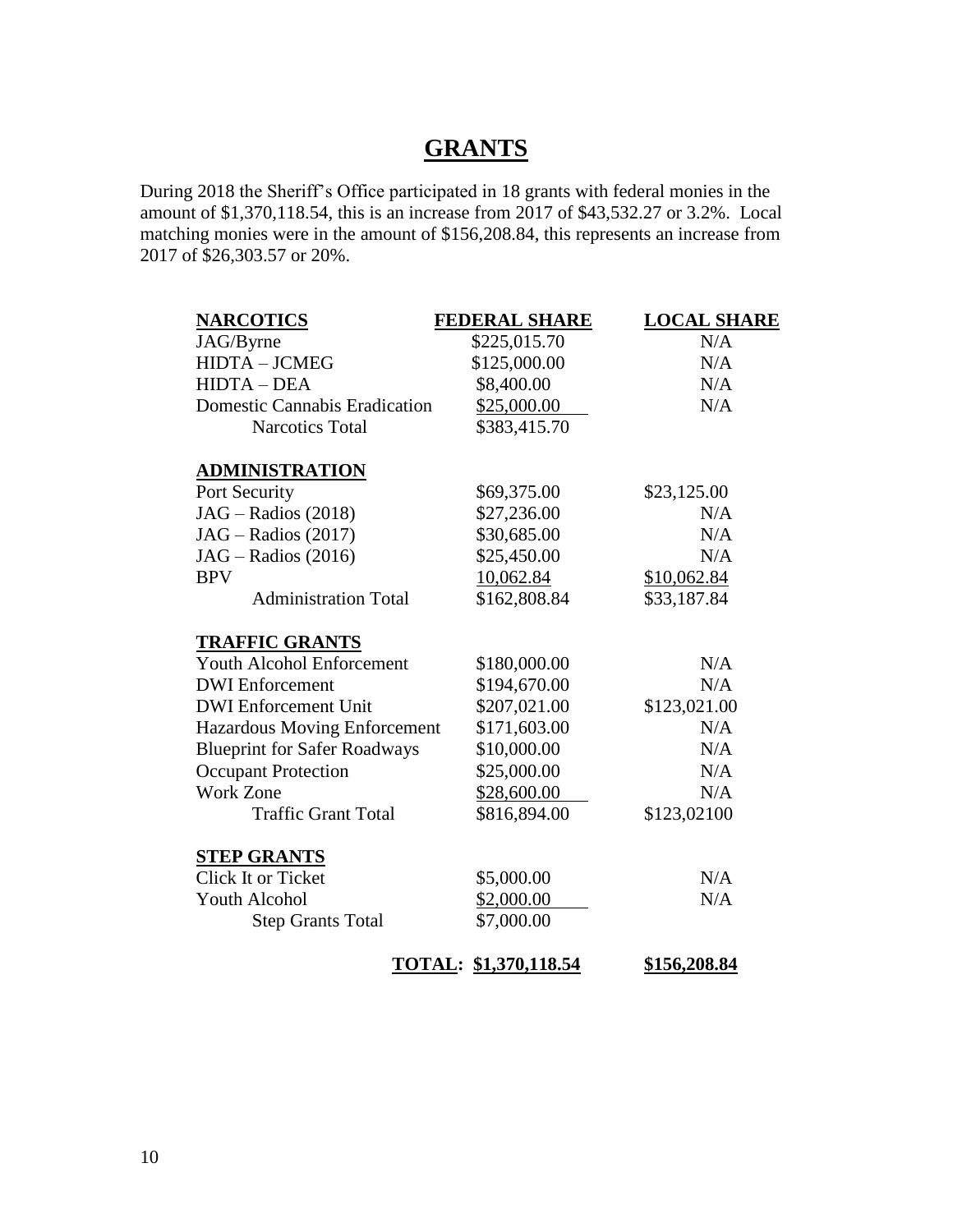#### **GRANTS**

During 2018 the Sheriff's Office participated in 18 grants with federal monies in the amount of \$1,370,118.54, this is an increase from 2017 of \$43,532.27 or 3.2%. Local matching monies were in the amount of \$156,208.84, this represents an increase from 2017 of \$26,303.57 or 20%.

| <b>NARCOTICS</b>                     | <b>FEDERAL SHARE</b>  | <b>LOCAL SHARE</b> |
|--------------------------------------|-----------------------|--------------------|
| JAG/Byrne                            | \$225,015.70          | N/A                |
| <b>HIDTA - JCMEG</b>                 | \$125,000.00          | N/A                |
| <b>HIDTA-DEA</b>                     | \$8,400.00            | N/A                |
| <b>Domestic Cannabis Eradication</b> | \$25,000.00           | N/A                |
| <b>Narcotics Total</b>               | \$383,415.70          |                    |
| <b>ADMINISTRATION</b>                |                       |                    |
| Port Security                        | \$69,375.00           | \$23,125.00        |
| $JAG - Radius (2018)$                | \$27,236.00           | N/A                |
| $JAG - Radius (2017)$                | \$30,685.00           | N/A                |
| $JAG - Radius (2016)$                | \$25,450.00           | N/A                |
| <b>BPV</b>                           | 10,062.84             | \$10,062.84        |
| <b>Administration Total</b>          | \$162,808.84          | \$33,187.84        |
| <b>TRAFFIC GRANTS</b>                |                       |                    |
| <b>Youth Alcohol Enforcement</b>     | \$180,000.00          | N/A                |
| <b>DWI</b> Enforcement               | \$194,670.00          | N/A                |
| <b>DWI</b> Enforcement Unit          | \$207,021.00          | \$123,021.00       |
| <b>Hazardous Moving Enforcement</b>  | \$171,603.00          | N/A                |
| <b>Blueprint for Safer Roadways</b>  | \$10,000.00           | N/A                |
| <b>Occupant Protection</b>           | \$25,000.00           | N/A                |
| <b>Work Zone</b>                     | \$28,600.00           | N/A                |
| <b>Traffic Grant Total</b>           | \$816,894.00          | \$123,02100        |
| <b>STEP GRANTS</b>                   |                       |                    |
| Click It or Ticket                   | \$5,000.00            | N/A                |
| Youth Alcohol                        | \$2,000.00            | N/A                |
| <b>Step Grants Total</b>             | \$7,000.00            |                    |
|                                      | TOTAL: \$1,370,118.54 | \$156,208.84       |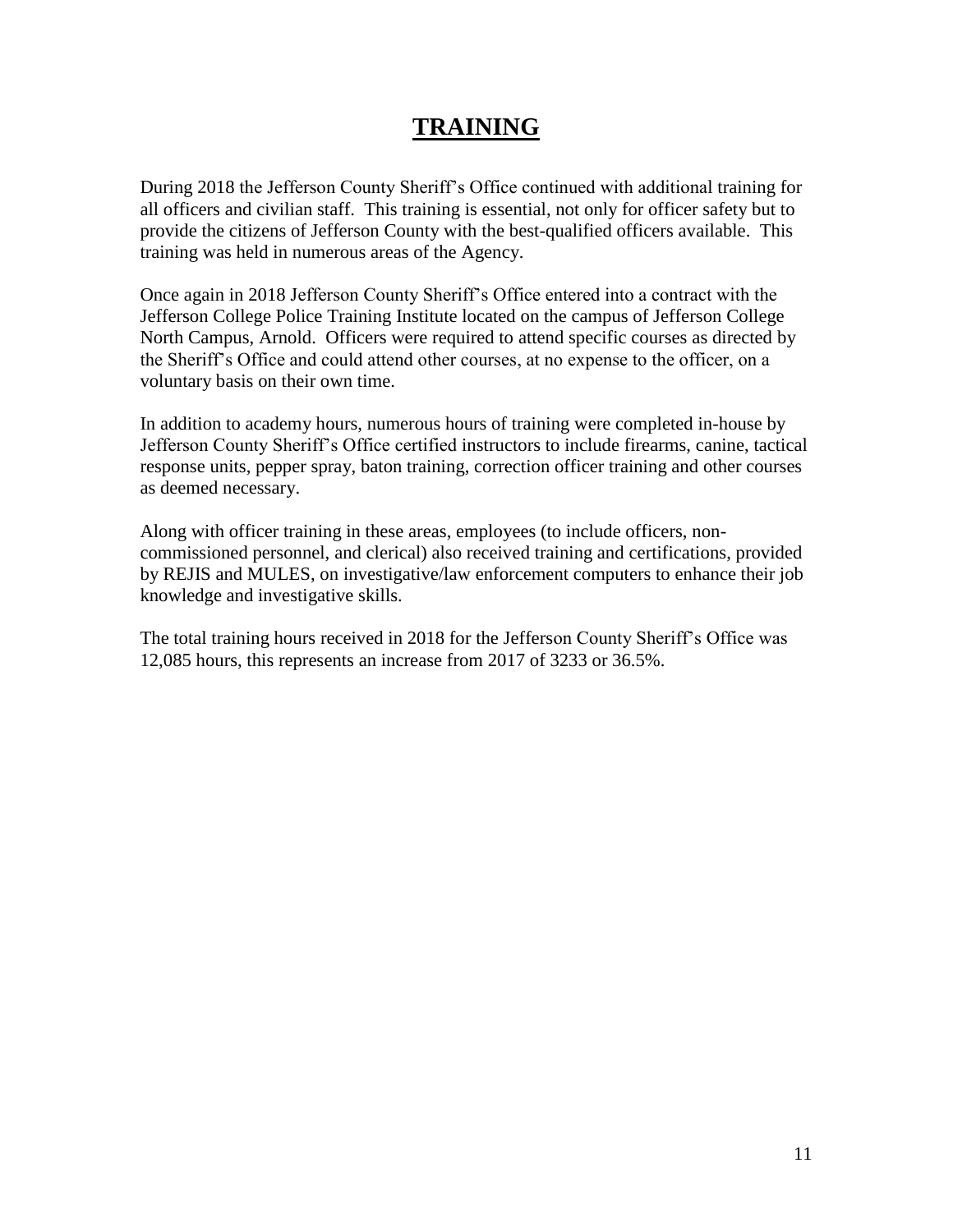#### **TRAINING**

During 2018 the Jefferson County Sheriff's Office continued with additional training for all officers and civilian staff. This training is essential, not only for officer safety but to provide the citizens of Jefferson County with the best-qualified officers available. This training was held in numerous areas of the Agency.

Once again in 2018 Jefferson County Sheriff's Office entered into a contract with the Jefferson College Police Training Institute located on the campus of Jefferson College North Campus, Arnold. Officers were required to attend specific courses as directed by the Sheriff's Office and could attend other courses, at no expense to the officer, on a voluntary basis on their own time.

In addition to academy hours, numerous hours of training were completed in-house by Jefferson County Sheriff's Office certified instructors to include firearms, canine, tactical response units, pepper spray, baton training, correction officer training and other courses as deemed necessary.

Along with officer training in these areas, employees (to include officers, noncommissioned personnel, and clerical) also received training and certifications, provided by REJIS and MULES, on investigative/law enforcement computers to enhance their job knowledge and investigative skills.

The total training hours received in 2018 for the Jefferson County Sheriff's Office was 12,085 hours, this represents an increase from 2017 of 3233 or 36.5%.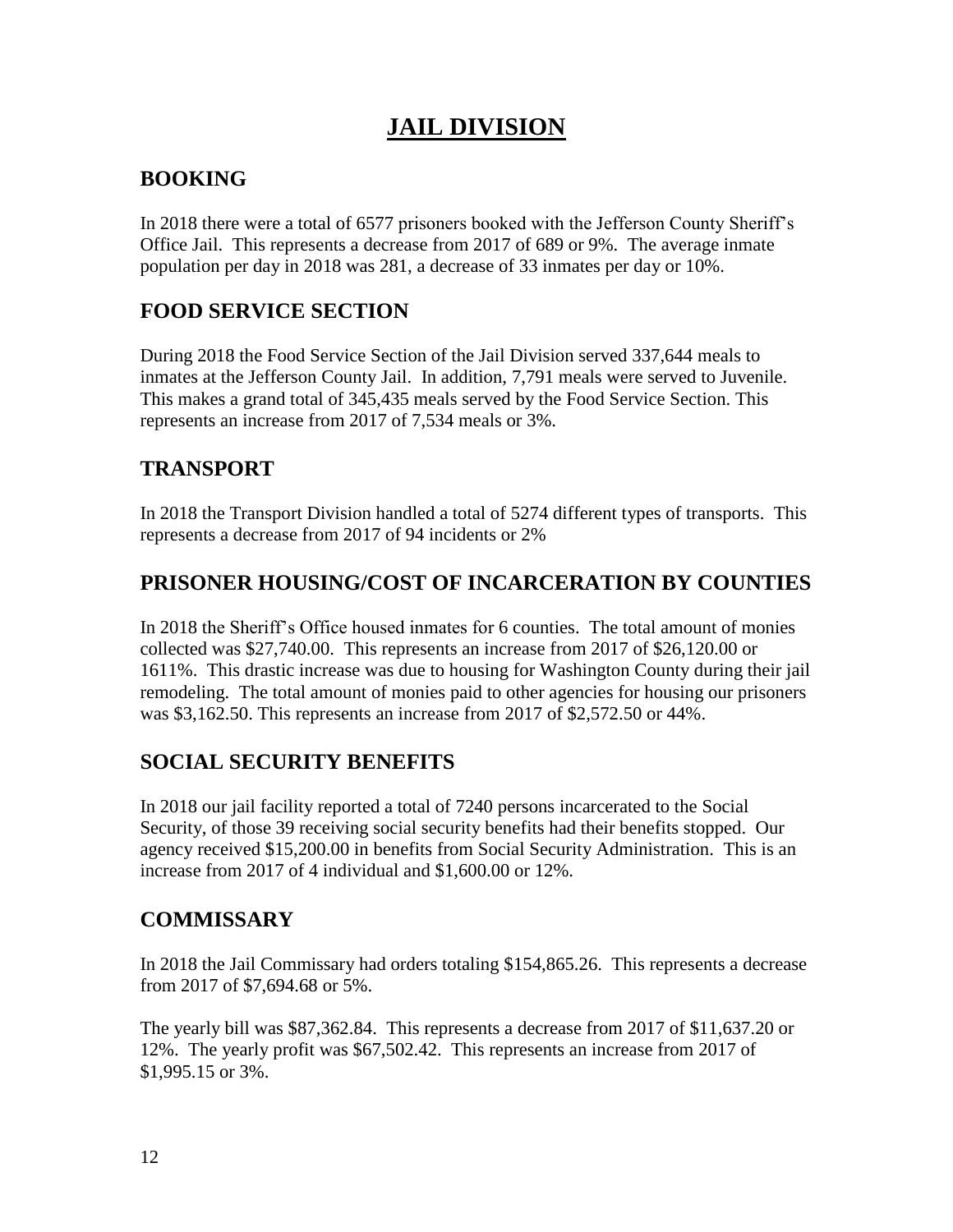## **JAIL DIVISION**

#### **BOOKING**

In 2018 there were a total of 6577 prisoners booked with the Jefferson County Sheriff's Office Jail. This represents a decrease from 2017 of 689 or 9%. The average inmate population per day in 2018 was 281, a decrease of 33 inmates per day or 10%.

#### **FOOD SERVICE SECTION**

During 2018 the Food Service Section of the Jail Division served 337,644 meals to inmates at the Jefferson County Jail. In addition, 7,791 meals were served to Juvenile. This makes a grand total of 345,435 meals served by the Food Service Section. This represents an increase from 2017 of 7,534 meals or 3%.

#### **TRANSPORT**

In 2018 the Transport Division handled a total of 5274 different types of transports. This represents a decrease from 2017 of 94 incidents or 2%

#### **PRISONER HOUSING/COST OF INCARCERATION BY COUNTIES**

In 2018 the Sheriff's Office housed inmates for 6 counties. The total amount of monies collected was \$27,740.00. This represents an increase from 2017 of \$26,120.00 or 1611%. This drastic increase was due to housing for Washington County during their jail remodeling. The total amount of monies paid to other agencies for housing our prisoners was \$3,162.50. This represents an increase from 2017 of \$2,572.50 or 44%.

#### **SOCIAL SECURITY BENEFITS**

In 2018 our jail facility reported a total of 7240 persons incarcerated to the Social Security, of those 39 receiving social security benefits had their benefits stopped. Our agency received \$15,200.00 in benefits from Social Security Administration. This is an increase from 2017 of 4 individual and \$1,600.00 or 12%.

#### **COMMISSARY**

In 2018 the Jail Commissary had orders totaling \$154,865.26. This represents a decrease from 2017 of \$7,694.68 or 5%.

The yearly bill was \$87,362.84. This represents a decrease from 2017 of \$11,637.20 or 12%. The yearly profit was \$67,502.42. This represents an increase from 2017 of \$1,995.15 or 3%.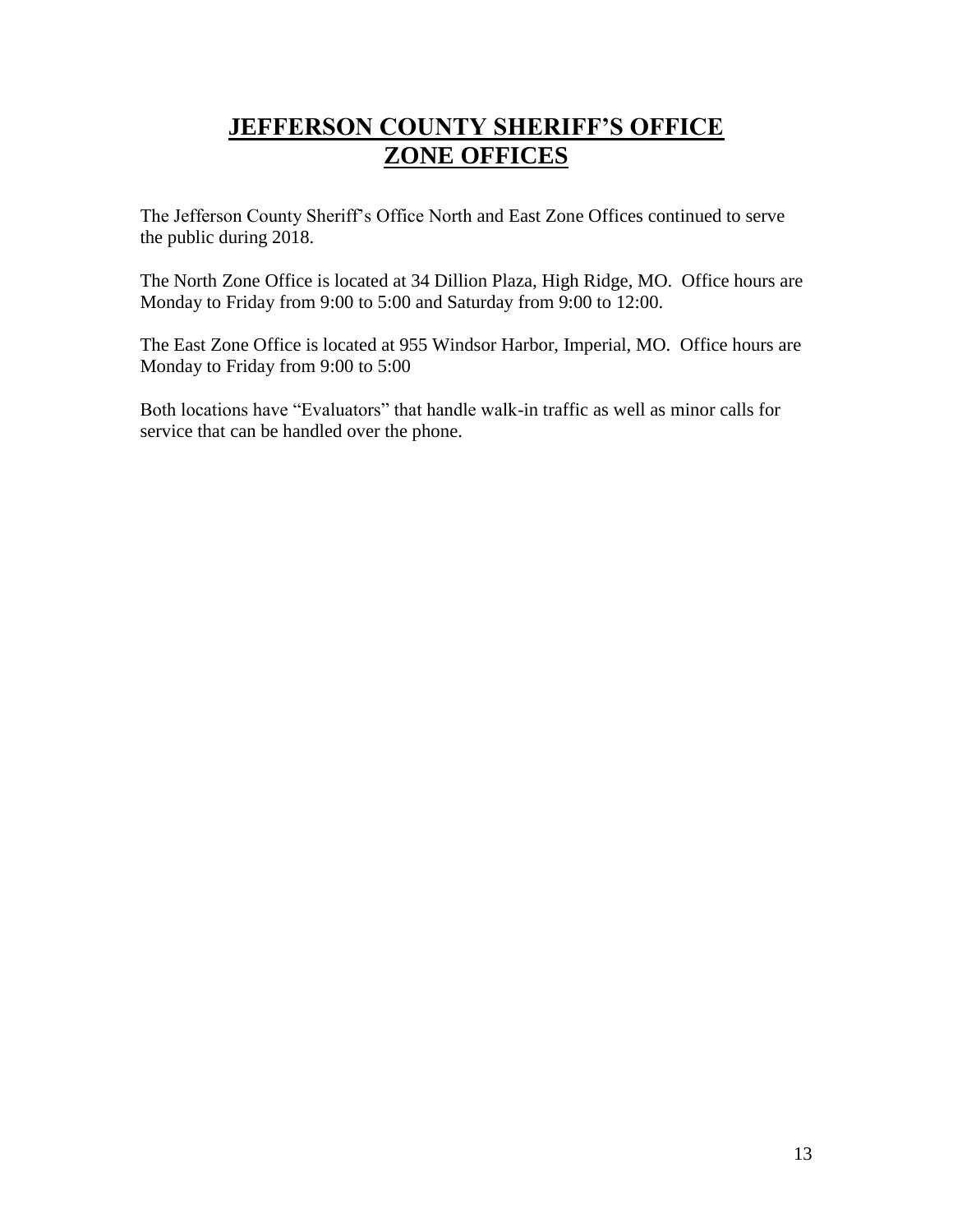## **JEFFERSON COUNTY SHERIFF'S OFFICE ZONE OFFICES**

The Jefferson County Sheriff's Office North and East Zone Offices continued to serve the public during 2018.

The North Zone Office is located at 34 Dillion Plaza, High Ridge, MO. Office hours are Monday to Friday from 9:00 to 5:00 and Saturday from 9:00 to 12:00.

The East Zone Office is located at 955 Windsor Harbor, Imperial, MO. Office hours are Monday to Friday from 9:00 to 5:00

Both locations have "Evaluators" that handle walk-in traffic as well as minor calls for service that can be handled over the phone.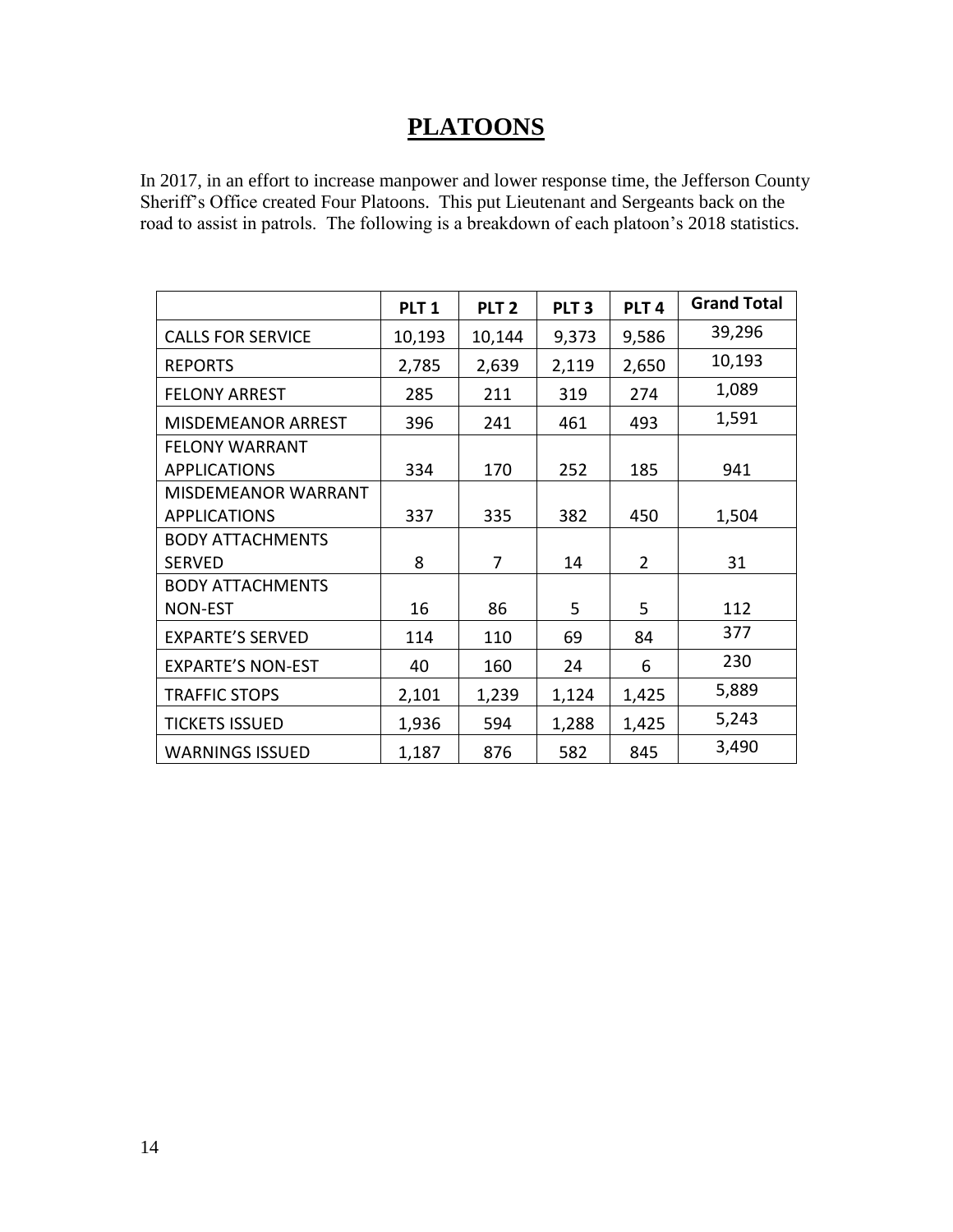## **PLATOONS**

In 2017, in an effort to increase manpower and lower response time, the Jefferson County Sheriff's Office created Four Platoons. This put Lieutenant and Sergeants back on the road to assist in patrols. The following is a breakdown of each platoon's 2018 statistics.

|                           | PLT <sub>1</sub> | PLT <sub>2</sub> | PLT <sub>3</sub> | PLT <sub>4</sub> | <b>Grand Total</b> |
|---------------------------|------------------|------------------|------------------|------------------|--------------------|
| <b>CALLS FOR SERVICE</b>  | 10,193           | 10,144           | 9,373            | 9,586            | 39,296             |
| <b>REPORTS</b>            | 2,785            | 2,639            | 2,119            | 2,650            | 10,193             |
| <b>FELONY ARREST</b>      | 285              | 211              | 319              | 274              | 1,089              |
| <b>MISDEMEANOR ARREST</b> | 396              | 241              | 461              | 493              | 1,591              |
| <b>FELONY WARRANT</b>     |                  |                  |                  |                  |                    |
| <b>APPLICATIONS</b>       | 334              | 170              | 252              | 185              | 941                |
| MISDEMEANOR WARRANT       |                  |                  |                  |                  |                    |
| <b>APPLICATIONS</b>       | 337              | 335              | 382              | 450              | 1,504              |
| <b>BODY ATTACHMENTS</b>   |                  |                  |                  |                  |                    |
| <b>SERVED</b>             | 8                | 7                | 14               | $\overline{2}$   | 31                 |
| <b>BODY ATTACHMENTS</b>   |                  |                  |                  |                  |                    |
| <b>NON-EST</b>            | 16               | 86               | 5                | 5                | 112                |
| <b>EXPARTE'S SERVED</b>   | 114              | 110              | 69               | 84               | 377                |
| <b>EXPARTE'S NON-EST</b>  | 40               | 160              | 24               | 6                | 230                |
| <b>TRAFFIC STOPS</b>      | 2,101            | 1,239            | 1,124            | 1,425            | 5,889              |
| <b>TICKETS ISSUED</b>     | 1,936            | 594              | 1,288            | 1,425            | 5,243              |
| <b>WARNINGS ISSUED</b>    | 1,187            | 876              | 582              | 845              | 3,490              |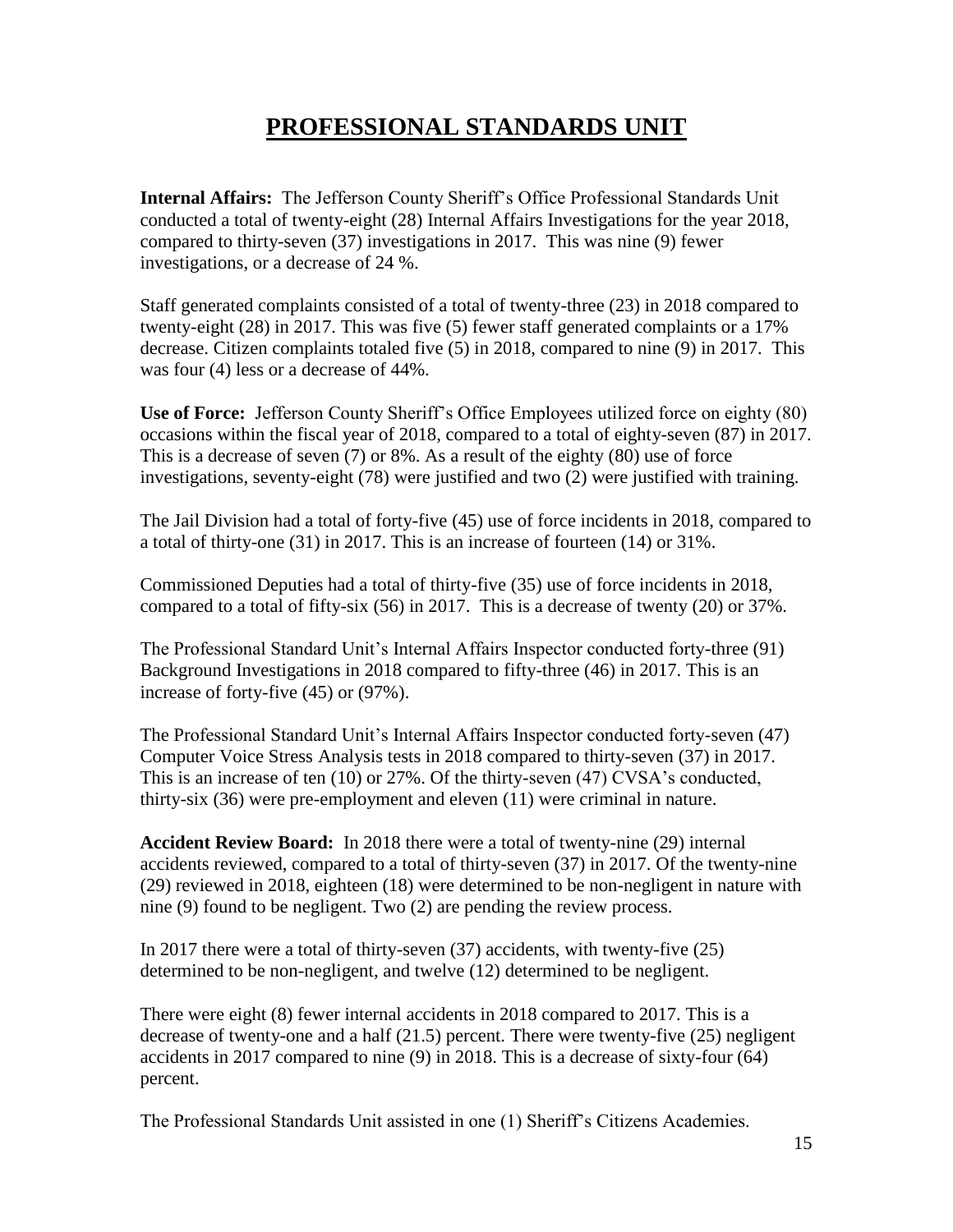## **PROFESSIONAL STANDARDS UNIT**

**Internal Affairs:** The Jefferson County Sheriff's Office Professional Standards Unit conducted a total of twenty-eight (28) Internal Affairs Investigations for the year 2018, compared to thirty-seven (37) investigations in 2017. This was nine (9) fewer investigations, or a decrease of 24 %.

Staff generated complaints consisted of a total of twenty-three (23) in 2018 compared to twenty-eight (28) in 2017. This was five (5) fewer staff generated complaints or a 17% decrease. Citizen complaints totaled five (5) in 2018, compared to nine (9) in 2017. This was four (4) less or a decrease of 44%.

**Use of Force:** Jefferson County Sheriff's Office Employees utilized force on eighty (80) occasions within the fiscal year of 2018, compared to a total of eighty-seven (87) in 2017. This is a decrease of seven (7) or 8%. As a result of the eighty (80) use of force investigations, seventy-eight (78) were justified and two (2) were justified with training.

The Jail Division had a total of forty-five (45) use of force incidents in 2018, compared to a total of thirty-one (31) in 2017. This is an increase of fourteen (14) or 31%.

Commissioned Deputies had a total of thirty-five (35) use of force incidents in 2018, compared to a total of fifty-six (56) in 2017. This is a decrease of twenty (20) or 37%.

The Professional Standard Unit's Internal Affairs Inspector conducted forty-three (91) Background Investigations in 2018 compared to fifty-three (46) in 2017. This is an increase of forty-five (45) or (97%).

The Professional Standard Unit's Internal Affairs Inspector conducted forty-seven (47) Computer Voice Stress Analysis tests in 2018 compared to thirty-seven (37) in 2017. This is an increase of ten (10) or 27%. Of the thirty-seven (47) CVSA's conducted, thirty-six (36) were pre-employment and eleven (11) were criminal in nature.

**Accident Review Board:** In 2018 there were a total of twenty-nine (29) internal accidents reviewed, compared to a total of thirty-seven (37) in 2017. Of the twenty-nine (29) reviewed in 2018, eighteen (18) were determined to be non-negligent in nature with nine (9) found to be negligent. Two (2) are pending the review process.

In 2017 there were a total of thirty-seven (37) accidents, with twenty-five (25) determined to be non-negligent, and twelve (12) determined to be negligent.

There were eight (8) fewer internal accidents in 2018 compared to 2017. This is a decrease of twenty-one and a half (21.5) percent. There were twenty-five (25) negligent accidents in 2017 compared to nine (9) in 2018. This is a decrease of sixty-four (64) percent.

The Professional Standards Unit assisted in one (1) Sheriff's Citizens Academies.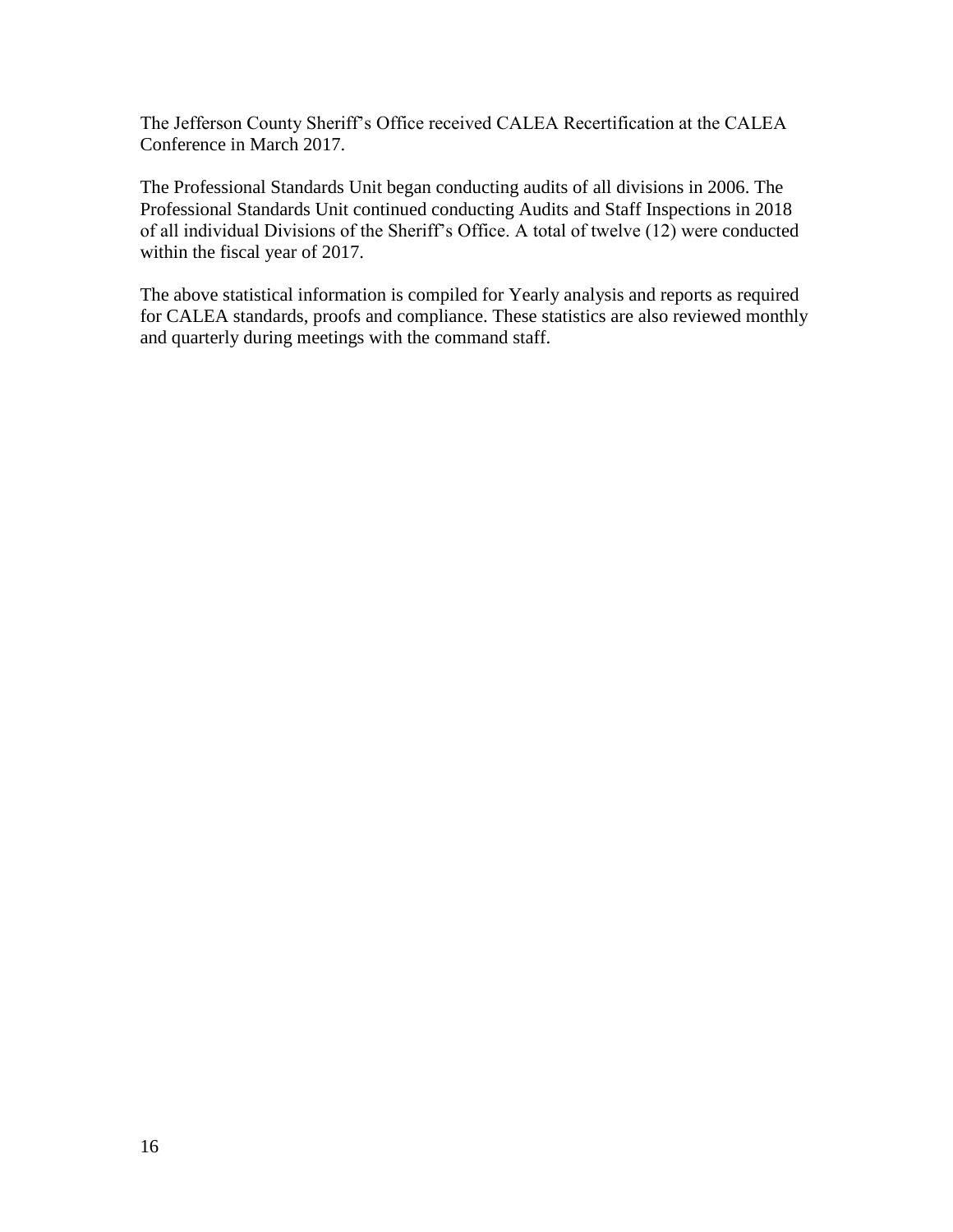The Jefferson County Sheriff's Office received CALEA Recertification at the CALEA Conference in March 2017.

The Professional Standards Unit began conducting audits of all divisions in 2006. The Professional Standards Unit continued conducting Audits and Staff Inspections in 2018 of all individual Divisions of the Sheriff's Office. A total of twelve (12) were conducted within the fiscal year of 2017.

The above statistical information is compiled for Yearly analysis and reports as required for CALEA standards, proofs and compliance. These statistics are also reviewed monthly and quarterly during meetings with the command staff.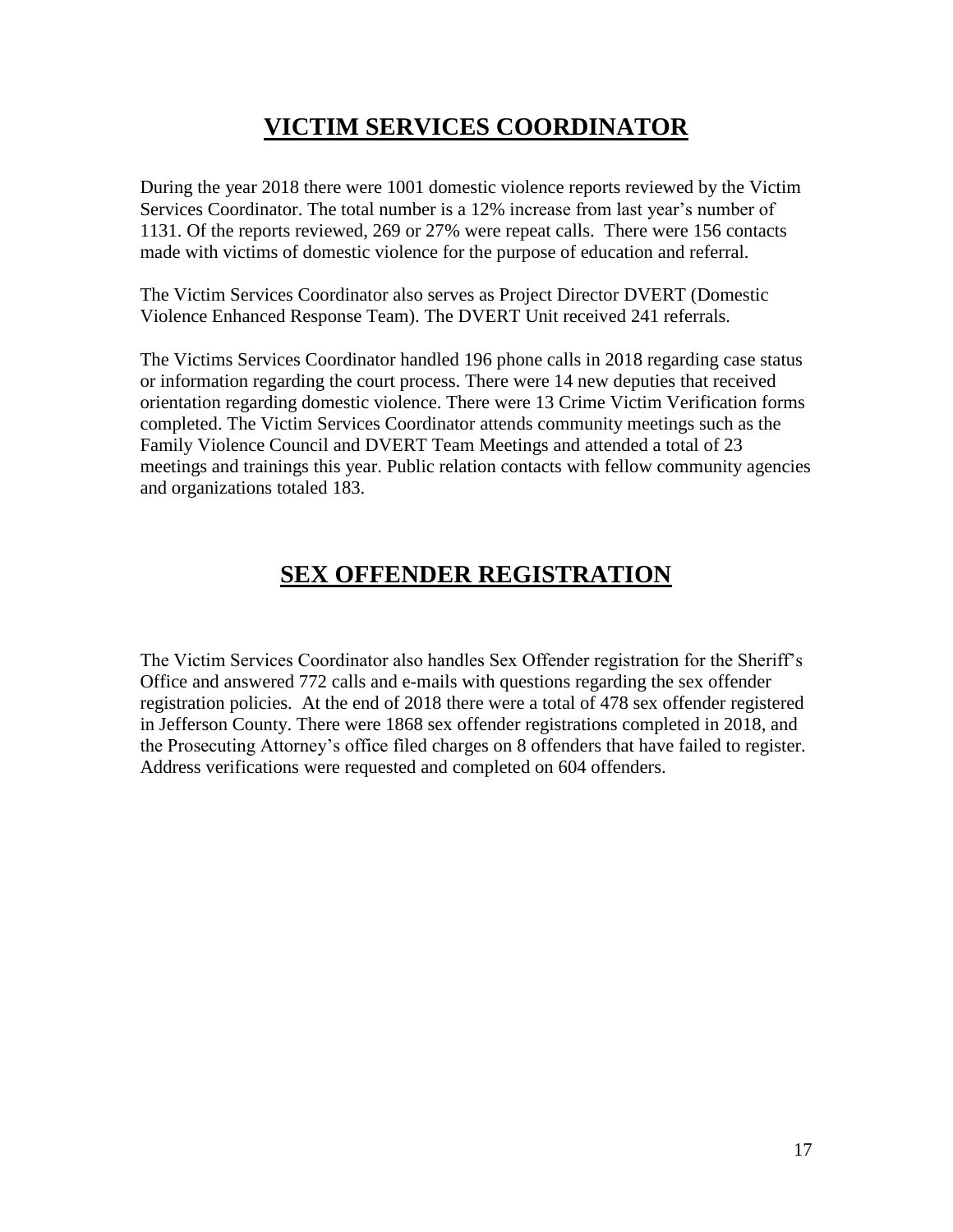## **VICTIM SERVICES COORDINATOR**

During the year 2018 there were 1001 domestic violence reports reviewed by the Victim Services Coordinator. The total number is a 12% increase from last year's number of 1131. Of the reports reviewed, 269 or 27% were repeat calls. There were 156 contacts made with victims of domestic violence for the purpose of education and referral.

The Victim Services Coordinator also serves as Project Director DVERT (Domestic Violence Enhanced Response Team). The DVERT Unit received 241 referrals.

The Victims Services Coordinator handled 196 phone calls in 2018 regarding case status or information regarding the court process. There were 14 new deputies that received orientation regarding domestic violence. There were 13 Crime Victim Verification forms completed. The Victim Services Coordinator attends community meetings such as the Family Violence Council and DVERT Team Meetings and attended a total of 23 meetings and trainings this year. Public relation contacts with fellow community agencies and organizations totaled 183.

## **SEX OFFENDER REGISTRATION**

The Victim Services Coordinator also handles Sex Offender registration for the Sheriff's Office and answered 772 calls and e-mails with questions regarding the sex offender registration policies. At the end of 2018 there were a total of 478 sex offender registered in Jefferson County. There were 1868 sex offender registrations completed in 2018, and the Prosecuting Attorney's office filed charges on 8 offenders that have failed to register. Address verifications were requested and completed on 604 offenders.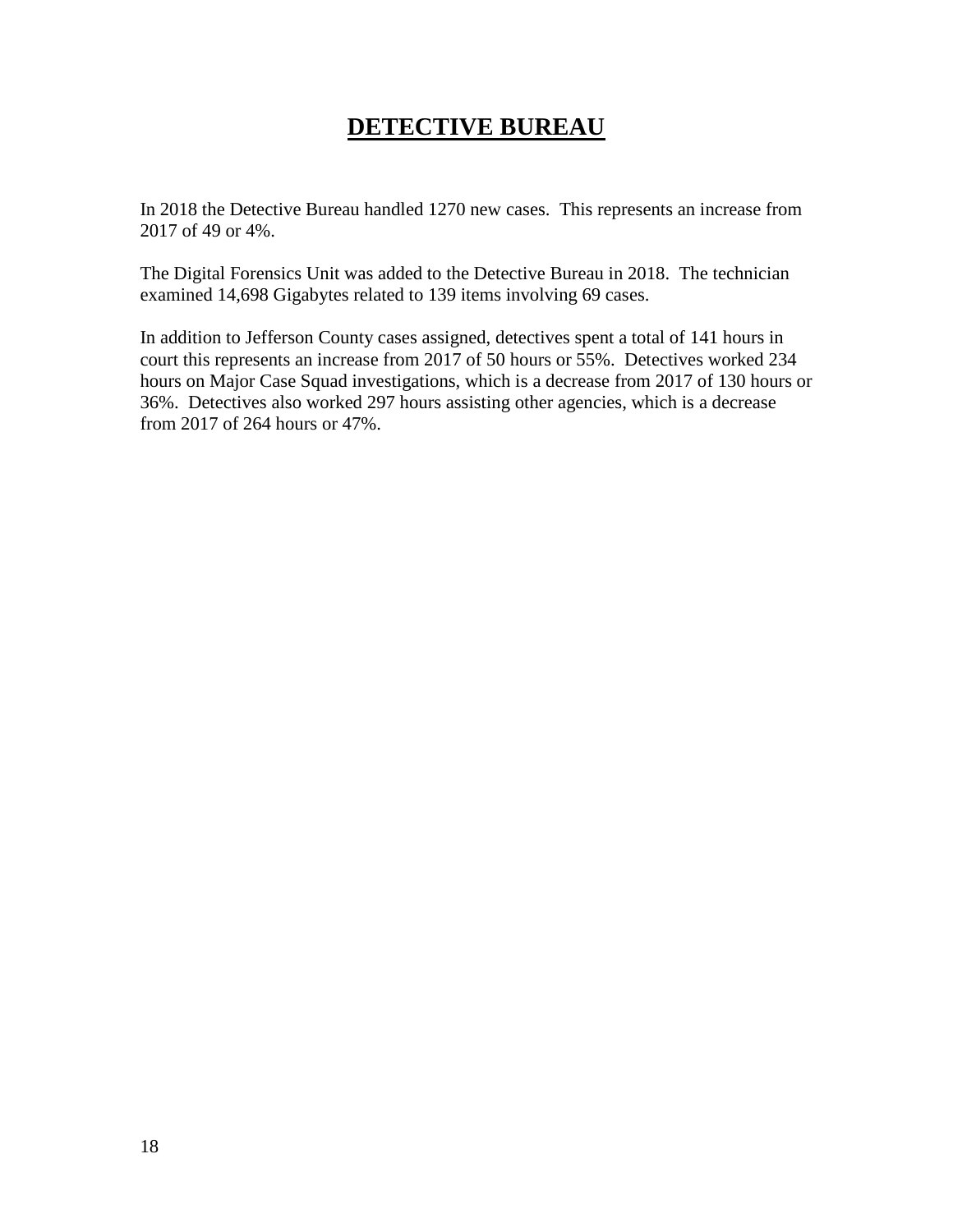#### **DETECTIVE BUREAU**

In 2018 the Detective Bureau handled 1270 new cases. This represents an increase from 2017 of 49 or 4%.

The Digital Forensics Unit was added to the Detective Bureau in 2018. The technician examined 14,698 Gigabytes related to 139 items involving 69 cases.

In addition to Jefferson County cases assigned, detectives spent a total of 141 hours in court this represents an increase from 2017 of 50 hours or 55%. Detectives worked 234 hours on Major Case Squad investigations, which is a decrease from 2017 of 130 hours or 36%. Detectives also worked 297 hours assisting other agencies, which is a decrease from 2017 of 264 hours or 47%.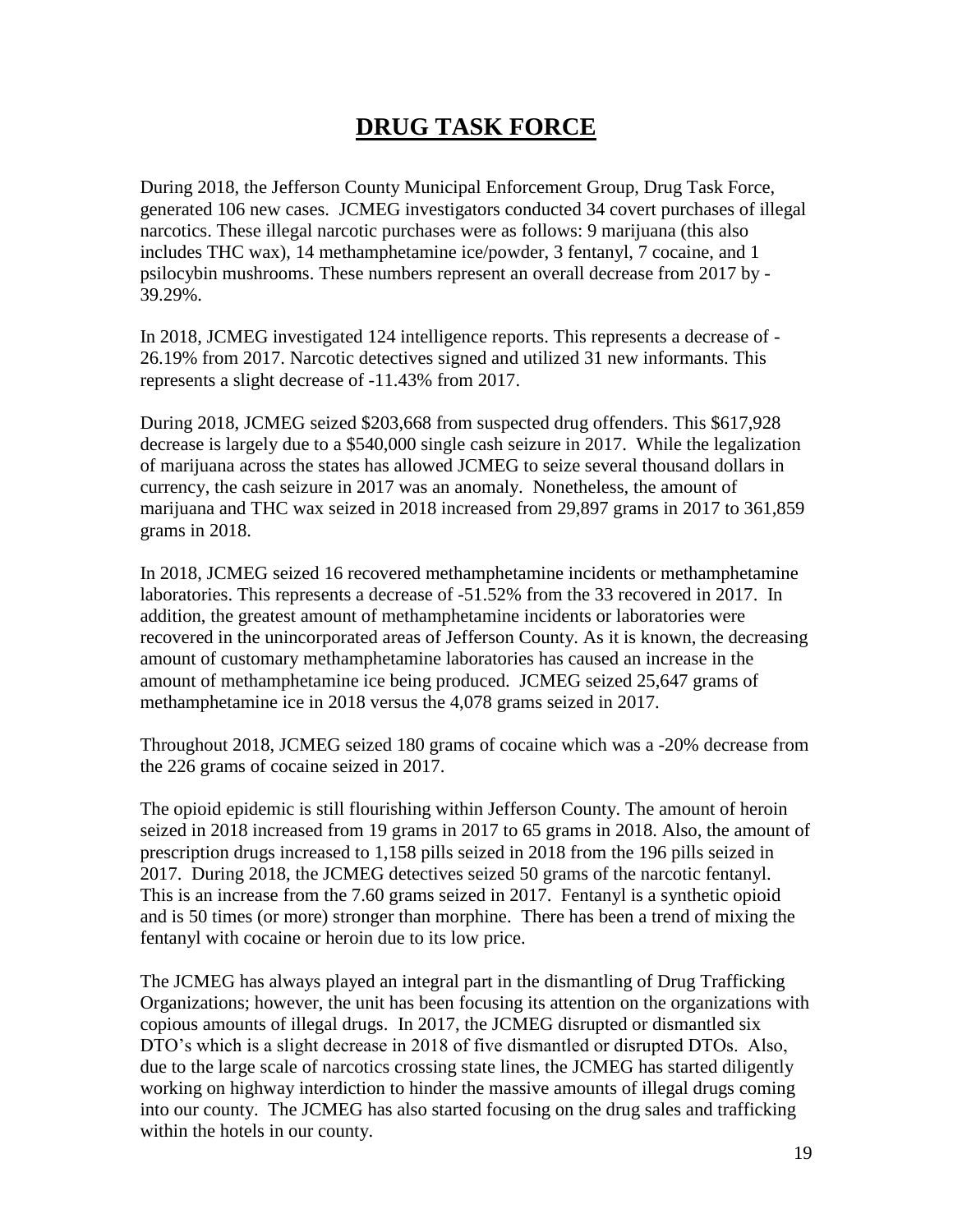## **DRUG TASK FORCE**

During 2018, the Jefferson County Municipal Enforcement Group, Drug Task Force, generated 106 new cases. JCMEG investigators conducted 34 covert purchases of illegal narcotics. These illegal narcotic purchases were as follows: 9 marijuana (this also includes THC wax), 14 methamphetamine ice/powder, 3 fentanyl, 7 cocaine, and 1 psilocybin mushrooms. These numbers represent an overall decrease from 2017 by - 39.29%.

In 2018, JCMEG investigated 124 intelligence reports. This represents a decrease of - 26.19% from 2017. Narcotic detectives signed and utilized 31 new informants. This represents a slight decrease of -11.43% from 2017.

During 2018, JCMEG seized \$203,668 from suspected drug offenders. This \$617,928 decrease is largely due to a \$540,000 single cash seizure in 2017. While the legalization of marijuana across the states has allowed JCMEG to seize several thousand dollars in currency, the cash seizure in 2017 was an anomaly. Nonetheless, the amount of marijuana and THC wax seized in 2018 increased from 29,897 grams in 2017 to 361,859 grams in 2018.

In 2018, JCMEG seized 16 recovered methamphetamine incidents or methamphetamine laboratories. This represents a decrease of -51.52% from the 33 recovered in 2017. In addition, the greatest amount of methamphetamine incidents or laboratories were recovered in the unincorporated areas of Jefferson County. As it is known, the decreasing amount of customary methamphetamine laboratories has caused an increase in the amount of methamphetamine ice being produced. JCMEG seized 25,647 grams of methamphetamine ice in 2018 versus the 4,078 grams seized in 2017.

Throughout 2018, JCMEG seized 180 grams of cocaine which was a -20% decrease from the 226 grams of cocaine seized in 2017.

The opioid epidemic is still flourishing within Jefferson County. The amount of heroin seized in 2018 increased from 19 grams in 2017 to 65 grams in 2018. Also, the amount of prescription drugs increased to 1,158 pills seized in 2018 from the 196 pills seized in 2017. During 2018, the JCMEG detectives seized 50 grams of the narcotic fentanyl. This is an increase from the 7.60 grams seized in 2017. Fentanyl is a synthetic opioid and is 50 times (or more) stronger than morphine. There has been a trend of mixing the fentanyl with cocaine or heroin due to its low price.

The JCMEG has always played an integral part in the dismantling of Drug Trafficking Organizations; however, the unit has been focusing its attention on the organizations with copious amounts of illegal drugs. In 2017, the JCMEG disrupted or dismantled six DTO's which is a slight decrease in 2018 of five dismantled or disrupted DTOs. Also, due to the large scale of narcotics crossing state lines, the JCMEG has started diligently working on highway interdiction to hinder the massive amounts of illegal drugs coming into our county. The JCMEG has also started focusing on the drug sales and trafficking within the hotels in our county.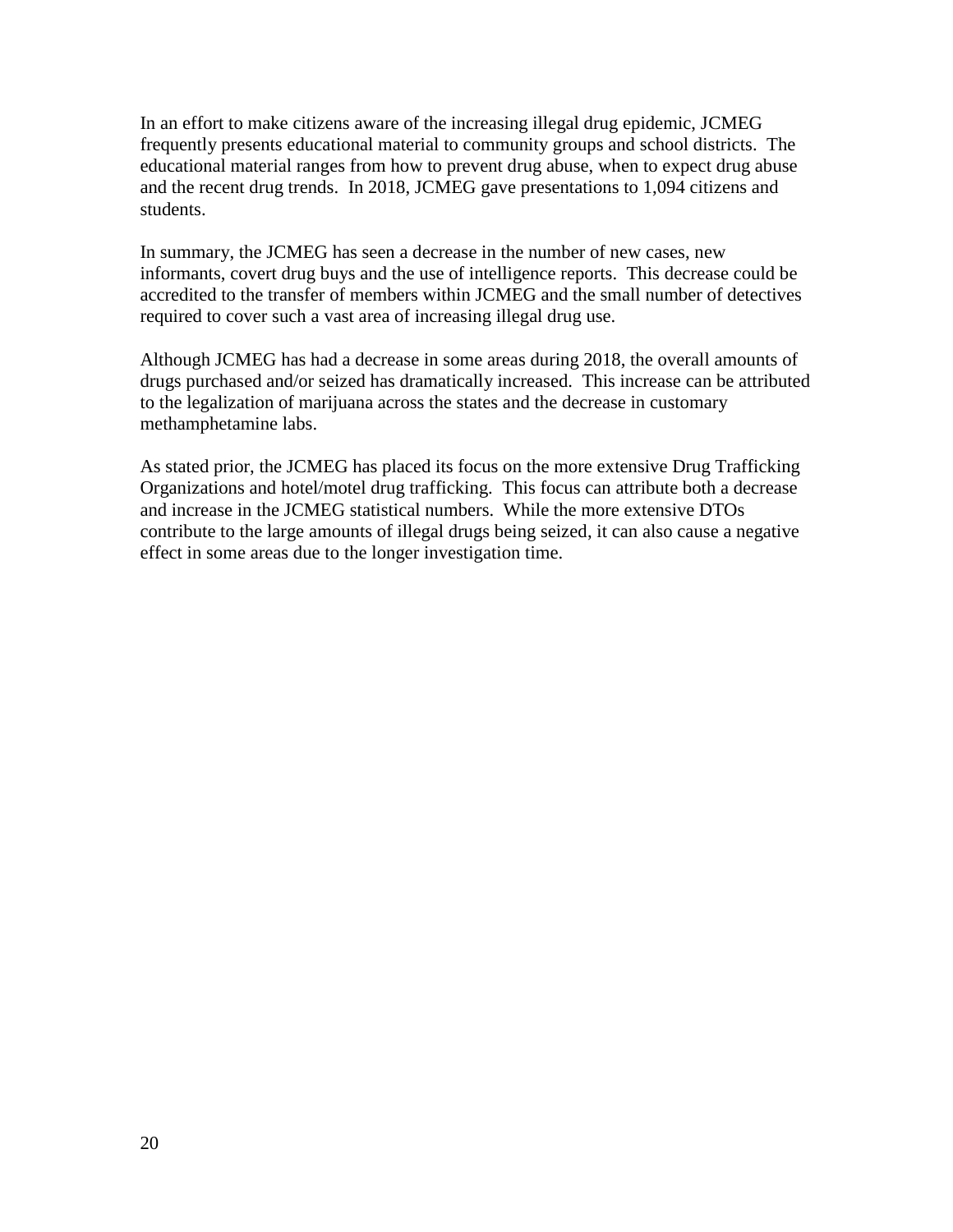In an effort to make citizens aware of the increasing illegal drug epidemic, JCMEG frequently presents educational material to community groups and school districts. The educational material ranges from how to prevent drug abuse, when to expect drug abuse and the recent drug trends. In 2018, JCMEG gave presentations to 1,094 citizens and students.

In summary, the JCMEG has seen a decrease in the number of new cases, new informants, covert drug buys and the use of intelligence reports. This decrease could be accredited to the transfer of members within JCMEG and the small number of detectives required to cover such a vast area of increasing illegal drug use.

Although JCMEG has had a decrease in some areas during 2018, the overall amounts of drugs purchased and/or seized has dramatically increased. This increase can be attributed to the legalization of marijuana across the states and the decrease in customary methamphetamine labs.

As stated prior, the JCMEG has placed its focus on the more extensive Drug Trafficking Organizations and hotel/motel drug trafficking. This focus can attribute both a decrease and increase in the JCMEG statistical numbers. While the more extensive DTOs contribute to the large amounts of illegal drugs being seized, it can also cause a negative effect in some areas due to the longer investigation time.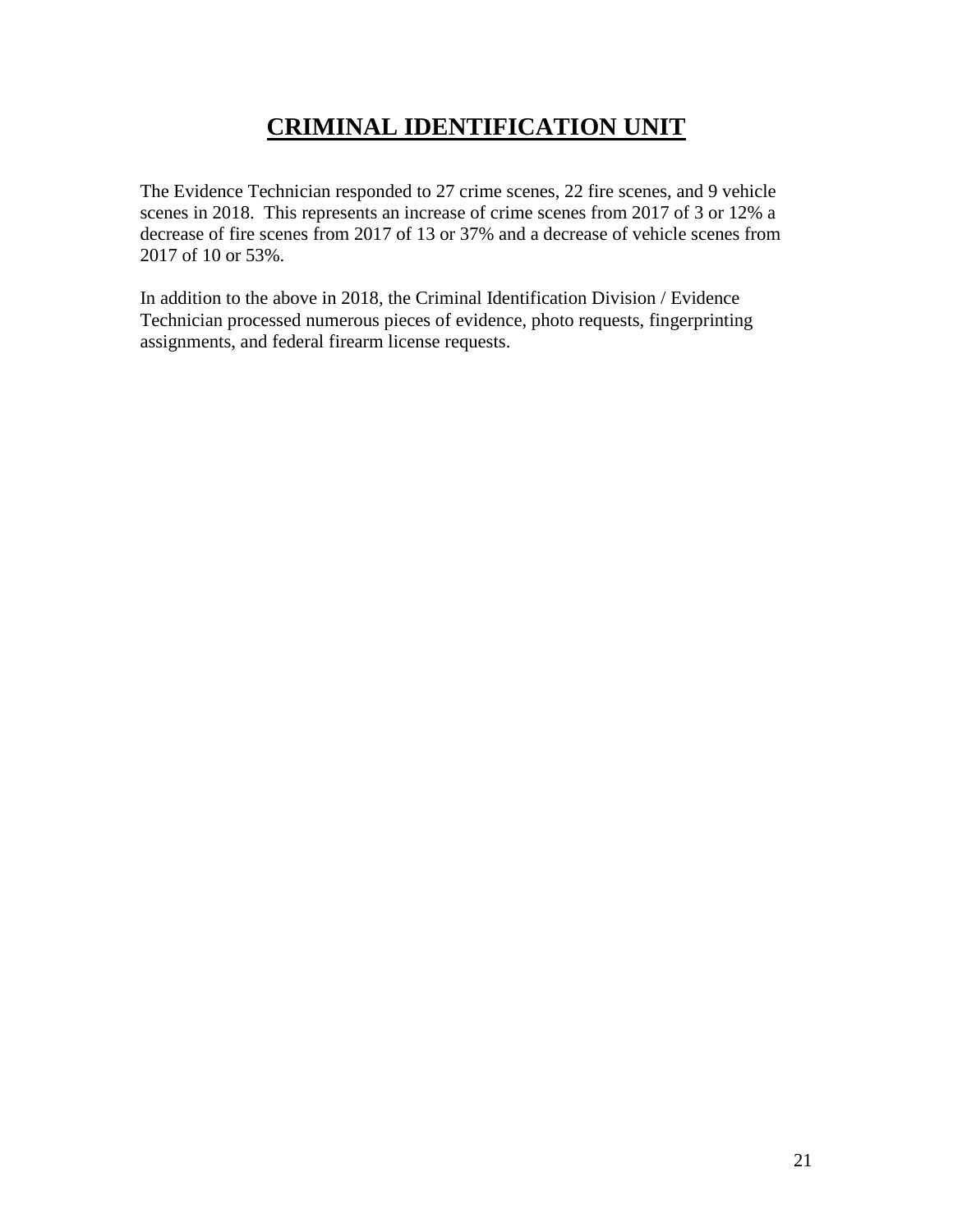## **CRIMINAL IDENTIFICATION UNIT**

The Evidence Technician responded to 27 crime scenes, 22 fire scenes, and 9 vehicle scenes in 2018. This represents an increase of crime scenes from 2017 of 3 or 12% a decrease of fire scenes from 2017 of 13 or 37% and a decrease of vehicle scenes from 2017 of 10 or 53%.

In addition to the above in 2018, the Criminal Identification Division / Evidence Technician processed numerous pieces of evidence, photo requests, fingerprinting assignments, and federal firearm license requests.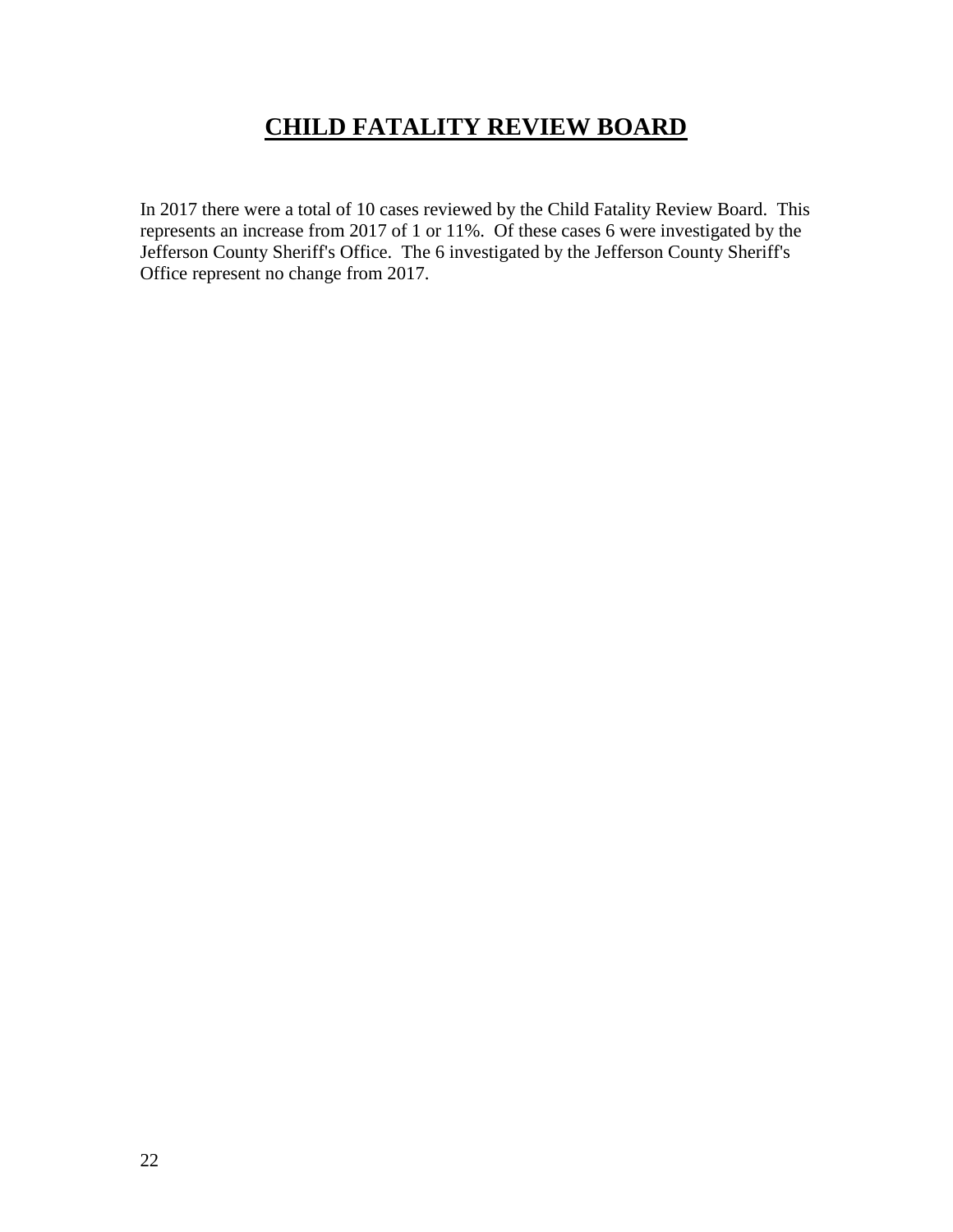## **CHILD FATALITY REVIEW BOARD**

In 2017 there were a total of 10 cases reviewed by the Child Fatality Review Board. This represents an increase from 2017 of 1 or 11%. Of these cases 6 were investigated by the Jefferson County Sheriff's Office. The 6 investigated by the Jefferson County Sheriff's Office represent no change from 2017.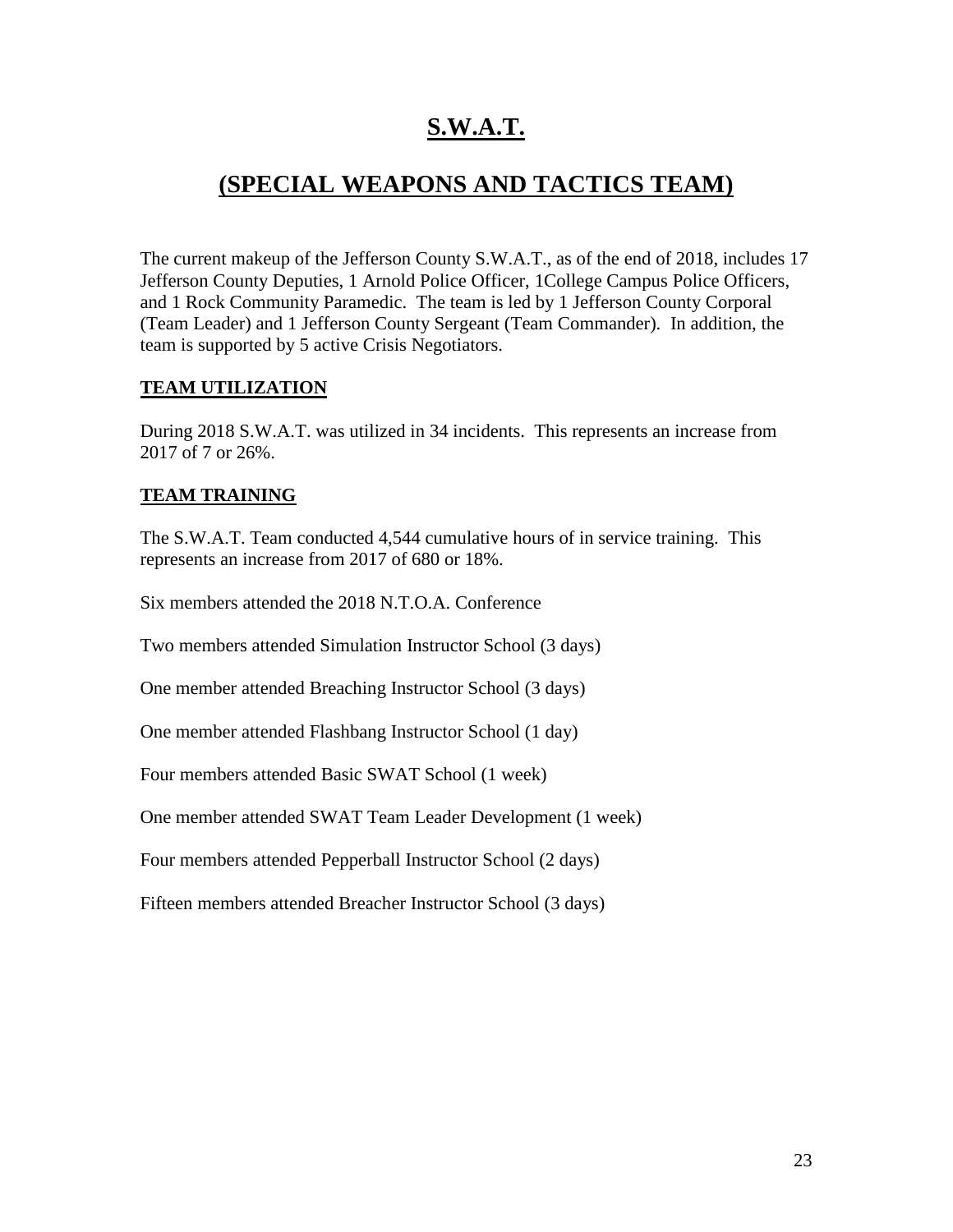## **S.W.A.T.**

#### **(SPECIAL WEAPONS AND TACTICS TEAM)**

The current makeup of the Jefferson County S.W.A.T., as of the end of 2018, includes 17 Jefferson County Deputies, 1 Arnold Police Officer, 1College Campus Police Officers, and 1 Rock Community Paramedic. The team is led by 1 Jefferson County Corporal (Team Leader) and 1 Jefferson County Sergeant (Team Commander). In addition, the team is supported by 5 active Crisis Negotiators.

#### **TEAM UTILIZATION**

During 2018 S.W.A.T. was utilized in 34 incidents. This represents an increase from 2017 of 7 or 26%.

#### **TEAM TRAINING**

The S.W.A.T. Team conducted 4,544 cumulative hours of in service training. This represents an increase from 2017 of 680 or 18%.

Six members attended the 2018 N.T.O.A. Conference

Two members attended Simulation Instructor School (3 days)

One member attended Breaching Instructor School (3 days)

One member attended Flashbang Instructor School (1 day)

Four members attended Basic SWAT School (1 week)

One member attended SWAT Team Leader Development (1 week)

Four members attended Pepperball Instructor School (2 days)

Fifteen members attended Breacher Instructor School (3 days)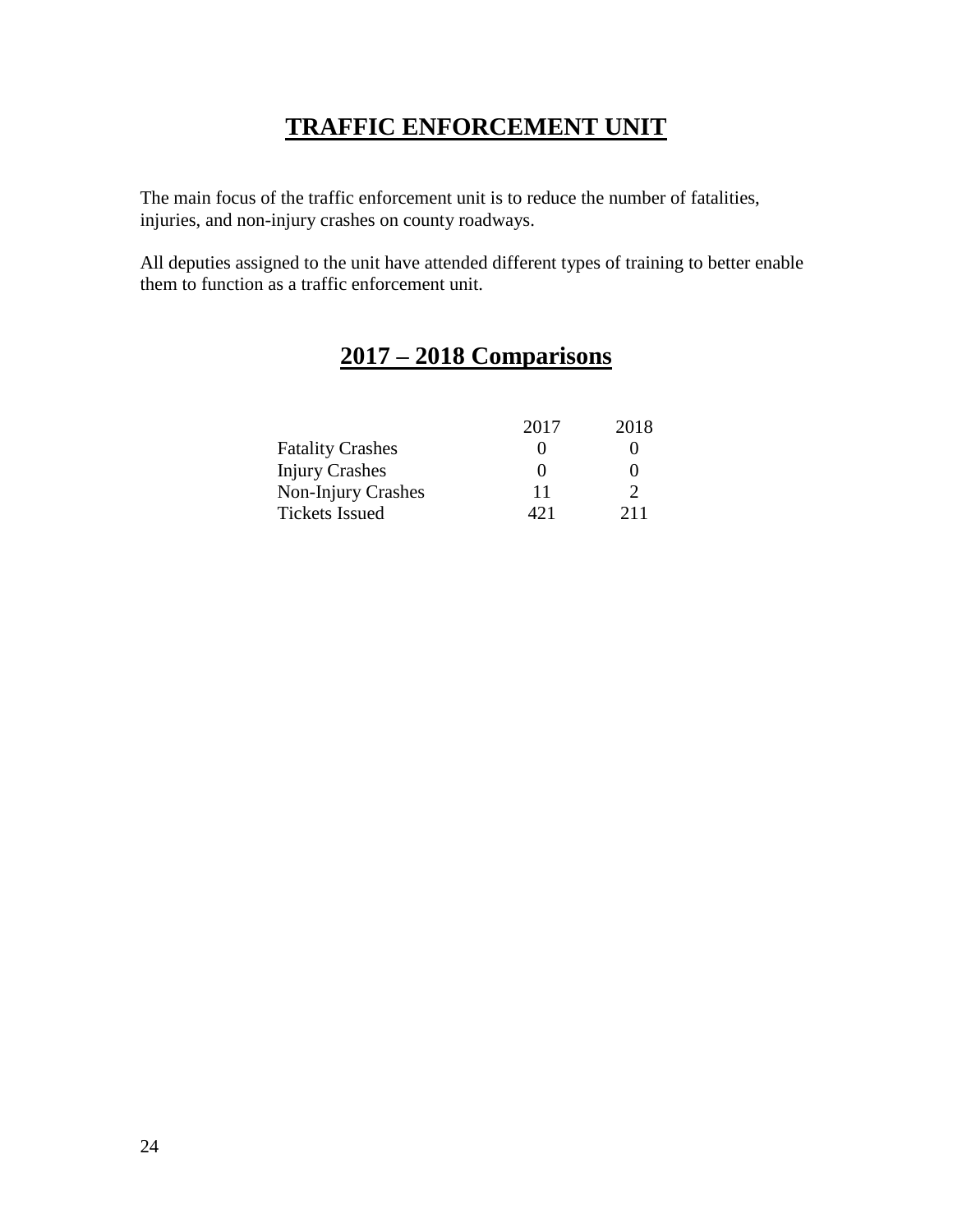#### **TRAFFIC ENFORCEMENT UNIT**

The main focus of the traffic enforcement unit is to reduce the number of fatalities, injuries, and non-injury crashes on county roadways.

All deputies assigned to the unit have attended different types of training to better enable them to function as a traffic enforcement unit.

## **2017 – 2018 Comparisons**

|                         | 2017              | 2018 |
|-------------------------|-------------------|------|
| <b>Fatality Crashes</b> | $\mathbf{\Omega}$ |      |
| <b>Injury Crashes</b>   | $\mathbf{\Omega}$ |      |
| Non-Injury Crashes      | 11                |      |
| <b>Tickets Issued</b>   | 421               | 211  |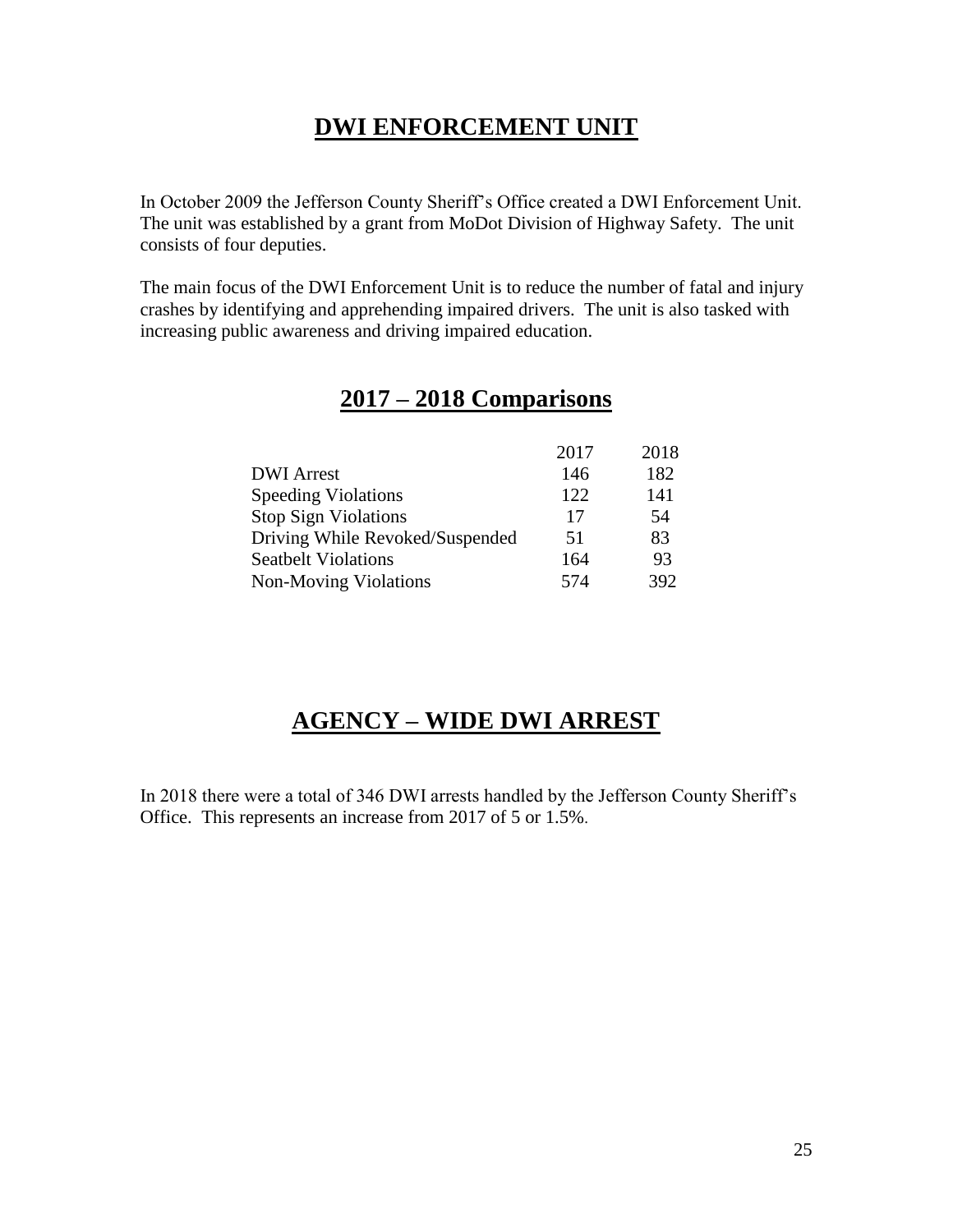#### **DWI ENFORCEMENT UNIT**

In October 2009 the Jefferson County Sheriff's Office created a DWI Enforcement Unit. The unit was established by a grant from MoDot Division of Highway Safety. The unit consists of four deputies.

The main focus of the DWI Enforcement Unit is to reduce the number of fatal and injury crashes by identifying and apprehending impaired drivers. The unit is also tasked with increasing public awareness and driving impaired education.

|                                 | 2017 | 2018 |
|---------------------------------|------|------|
| <b>DWI</b> Arrest               | 146  | 182  |
| <b>Speeding Violations</b>      | 122  | 141  |
| <b>Stop Sign Violations</b>     | 17   | 54   |
| Driving While Revoked/Suspended | 51   | 83   |
| <b>Seatbelt Violations</b>      | 164  | 93   |
| Non-Moving Violations           | 574  | 392  |

#### **2017 – 2018 Comparisons**

## **AGENCY – WIDE DWI ARREST**

In 2018 there were a total of 346 DWI arrests handled by the Jefferson County Sheriff's Office. This represents an increase from 2017 of 5 or 1.5%.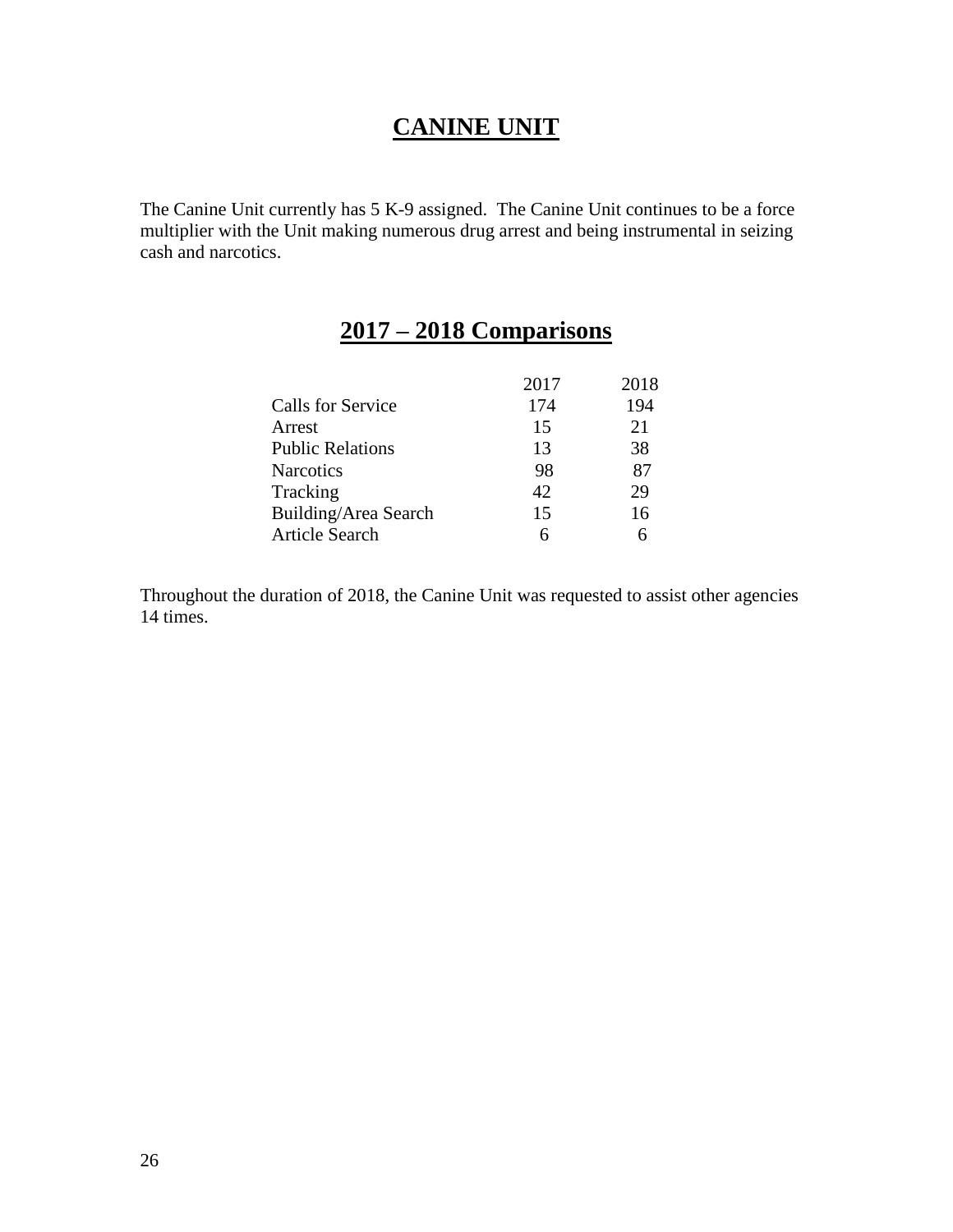#### **CANINE UNIT**

The Canine Unit currently has 5 K-9 assigned. The Canine Unit continues to be a force multiplier with the Unit making numerous drug arrest and being instrumental in seizing cash and narcotics.

#### **2017 – 2018 Comparisons**

|                         | 2017 | 2018 |
|-------------------------|------|------|
| Calls for Service       | 174  | 194  |
| Arrest                  | 15   | 21   |
| <b>Public Relations</b> | 13   | 38   |
| <b>Narcotics</b>        | 98   | 87   |
| Tracking                | 42   | 29   |
| Building/Area Search    | 15   | 16   |
| <b>Article Search</b>   | 6    |      |

Throughout the duration of 2018, the Canine Unit was requested to assist other agencies 14 times.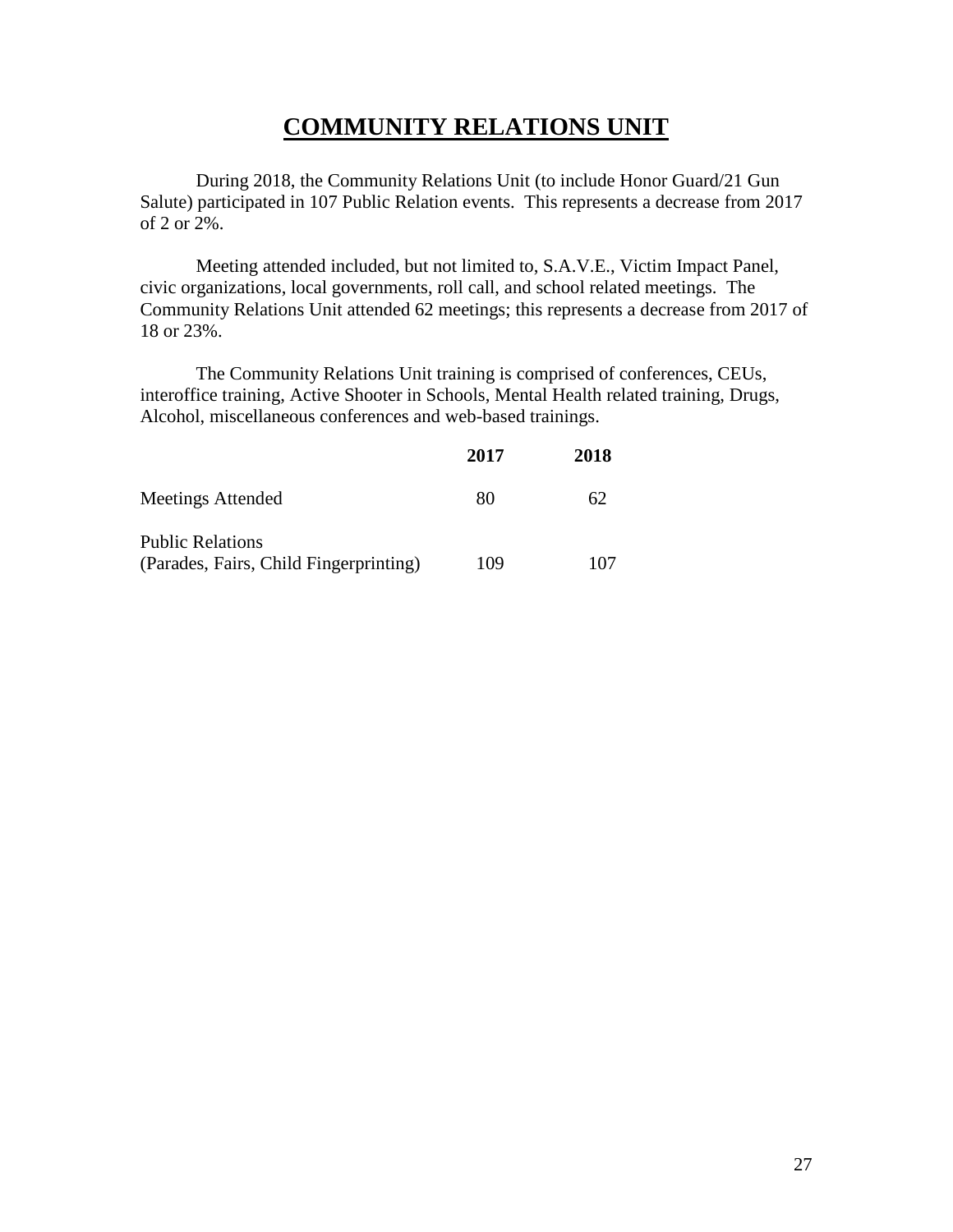#### **COMMUNITY RELATIONS UNIT**

During 2018, the Community Relations Unit (to include Honor Guard/21 Gun Salute) participated in 107 Public Relation events. This represents a decrease from 2017 of 2 or 2%.

Meeting attended included, but not limited to, S.A.V.E., Victim Impact Panel, civic organizations, local governments, roll call, and school related meetings. The Community Relations Unit attended 62 meetings; this represents a decrease from 2017 of 18 or 23%.

The Community Relations Unit training is comprised of conferences, CEUs, interoffice training, Active Shooter in Schools, Mental Health related training, Drugs, Alcohol, miscellaneous conferences and web-based trainings.

|                                        | 2017 | 2018 |
|----------------------------------------|------|------|
| Meetings Attended                      | 80   | 62   |
| <b>Public Relations</b>                |      |      |
| (Parades, Fairs, Child Fingerprinting) | 109  | 107  |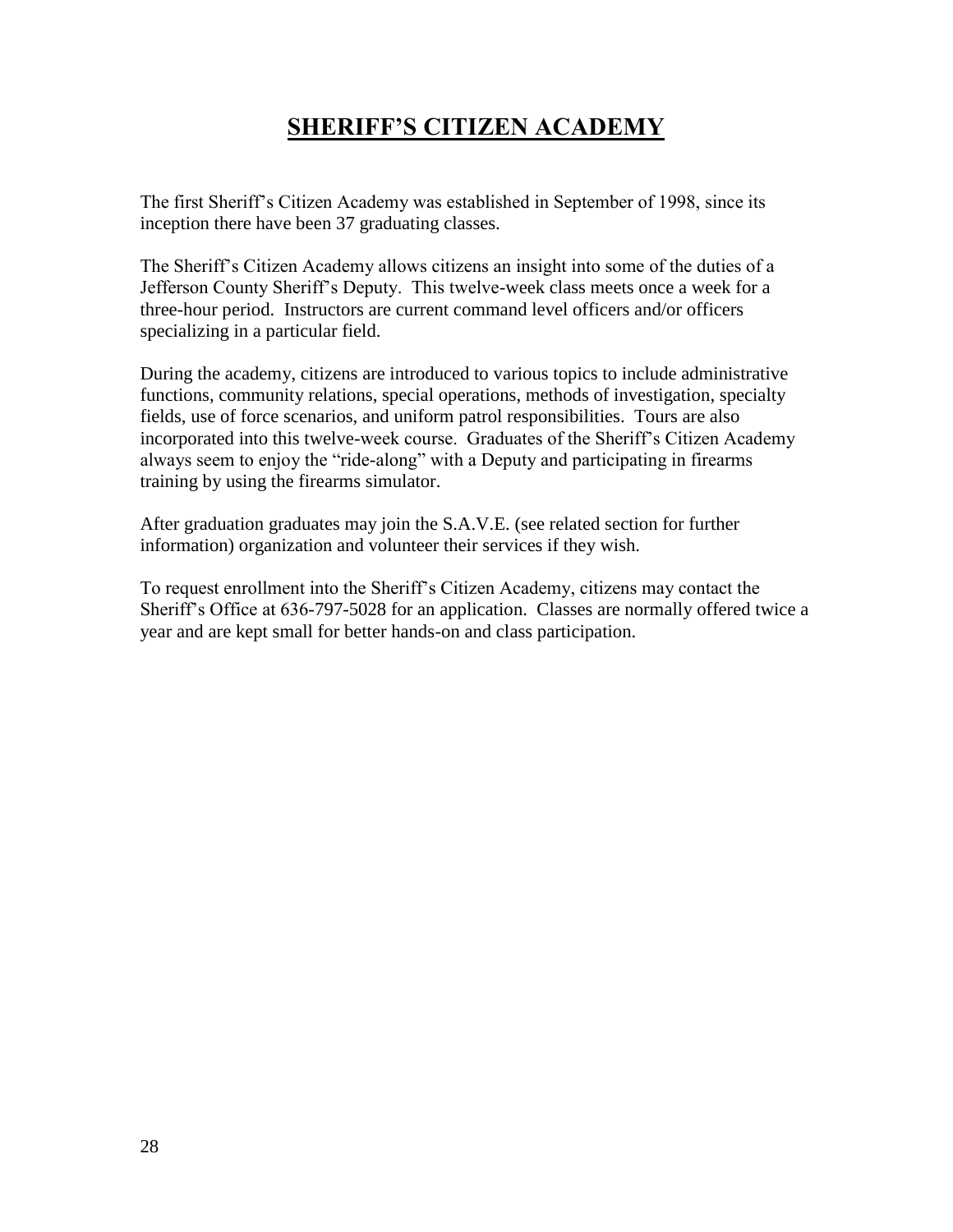## **SHERIFF'S CITIZEN ACADEMY**

The first Sheriff's Citizen Academy was established in September of 1998, since its inception there have been 37 graduating classes.

The Sheriff's Citizen Academy allows citizens an insight into some of the duties of a Jefferson County Sheriff's Deputy. This twelve-week class meets once a week for a three-hour period. Instructors are current command level officers and/or officers specializing in a particular field.

During the academy, citizens are introduced to various topics to include administrative functions, community relations, special operations, methods of investigation, specialty fields, use of force scenarios, and uniform patrol responsibilities. Tours are also incorporated into this twelve-week course. Graduates of the Sheriff's Citizen Academy always seem to enjoy the "ride-along" with a Deputy and participating in firearms training by using the firearms simulator.

After graduation graduates may join the S.A.V.E. (see related section for further information) organization and volunteer their services if they wish.

To request enrollment into the Sheriff's Citizen Academy, citizens may contact the Sheriff's Office at 636-797-5028 for an application. Classes are normally offered twice a year and are kept small for better hands-on and class participation.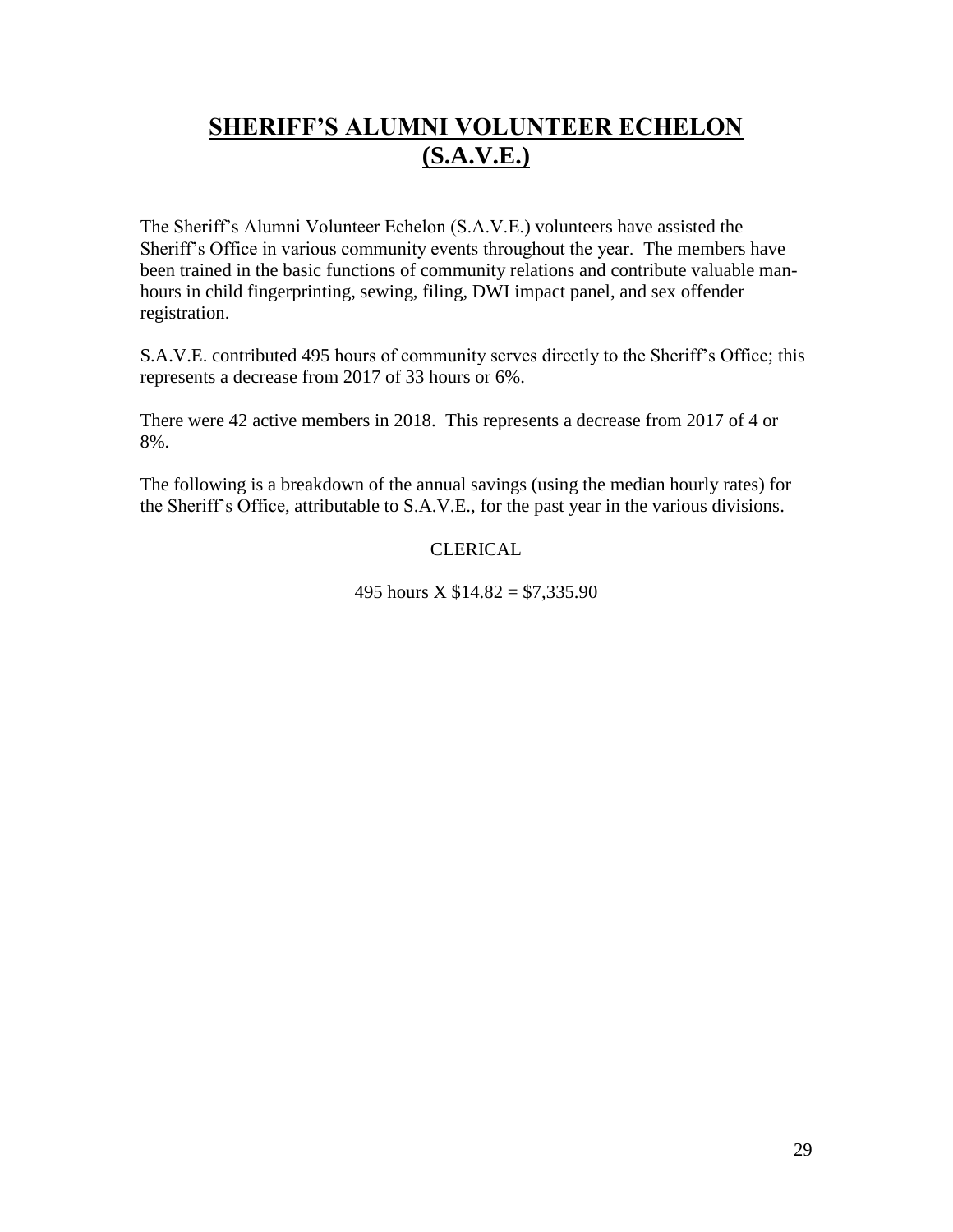## **SHERIFF'S ALUMNI VOLUNTEER ECHELON (S.A.V.E.)**

The Sheriff's Alumni Volunteer Echelon (S.A.V.E.) volunteers have assisted the Sheriff's Office in various community events throughout the year. The members have been trained in the basic functions of community relations and contribute valuable manhours in child fingerprinting, sewing, filing, DWI impact panel, and sex offender registration.

S.A.V.E. contributed 495 hours of community serves directly to the Sheriff's Office; this represents a decrease from 2017 of 33 hours or 6%.

There were 42 active members in 2018. This represents a decrease from 2017 of 4 or 8%.

The following is a breakdown of the annual savings (using the median hourly rates) for the Sheriff's Office, attributable to S.A.V.E., for the past year in the various divisions.

#### CLERICAL

495 hours  $X$  \$14.82 = \$7,335.90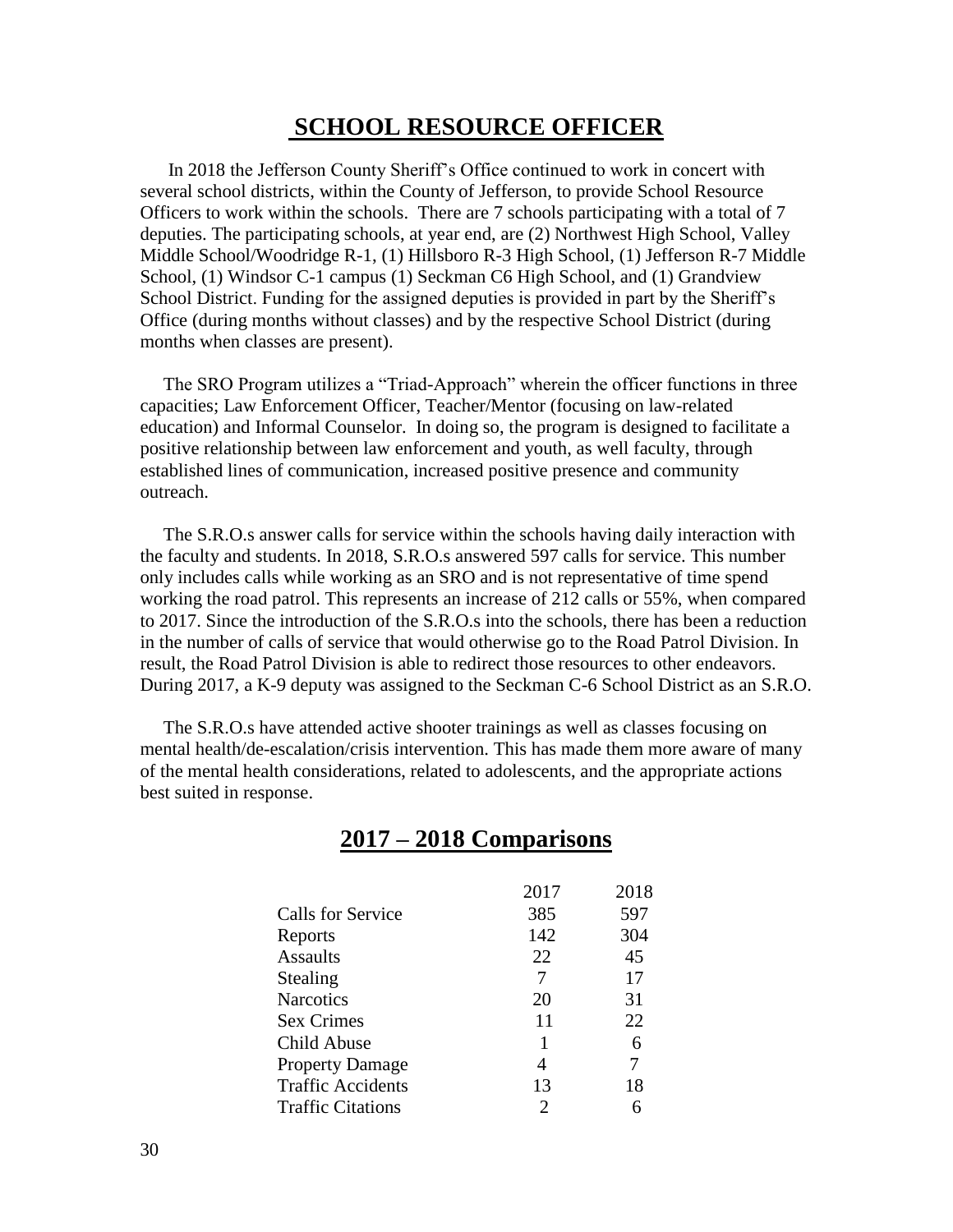#### **SCHOOL RESOURCE OFFICER**

 In 2018 the Jefferson County Sheriff's Office continued to work in concert with several school districts, within the County of Jefferson, to provide School Resource Officers to work within the schools. There are 7 schools participating with a total of 7 deputies. The participating schools, at year end, are (2) Northwest High School, Valley Middle School/Woodridge R-1, (1) Hillsboro R-3 High School, (1) Jefferson R-7 Middle School, (1) Windsor C-1 campus (1) Seckman C6 High School, and (1) Grandview School District. Funding for the assigned deputies is provided in part by the Sheriff's Office (during months without classes) and by the respective School District (during months when classes are present).

 The SRO Program utilizes a "Triad-Approach" wherein the officer functions in three capacities; Law Enforcement Officer, Teacher/Mentor (focusing on law-related education) and Informal Counselor. In doing so, the program is designed to facilitate a positive relationship between law enforcement and youth, as well faculty, through established lines of communication, increased positive presence and community outreach.

 The S.R.O.s answer calls for service within the schools having daily interaction with the faculty and students. In 2018, S.R.O.s answered 597 calls for service. This number only includes calls while working as an SRO and is not representative of time spend working the road patrol. This represents an increase of 212 calls or 55%, when compared to 2017. Since the introduction of the S.R.O.s into the schools, there has been a reduction in the number of calls of service that would otherwise go to the Road Patrol Division. In result, the Road Patrol Division is able to redirect those resources to other endeavors. During 2017, a K-9 deputy was assigned to the Seckman C-6 School District as an S.R.O.

 The S.R.O.s have attended active shooter trainings as well as classes focusing on mental health/de-escalation/crisis intervention. This has made them more aware of many of the mental health considerations, related to adolescents, and the appropriate actions best suited in response.

#### **2017 – 2018 Comparisons**

|                          | 2017 | 2018 |
|--------------------------|------|------|
| <b>Calls for Service</b> | 385  | 597  |
| Reports                  | 142  | 304  |
| <b>Assaults</b>          | 22   | 45   |
| Stealing                 | 7    | 17   |
| <b>Narcotics</b>         | 20   | 31   |
| <b>Sex Crimes</b>        | 11   | 22   |
| Child Abuse              | 1    | 6    |
| <b>Property Damage</b>   | 4    | 7    |
| <b>Traffic Accidents</b> | 13   | 18   |
| <b>Traffic Citations</b> | 2    | 6    |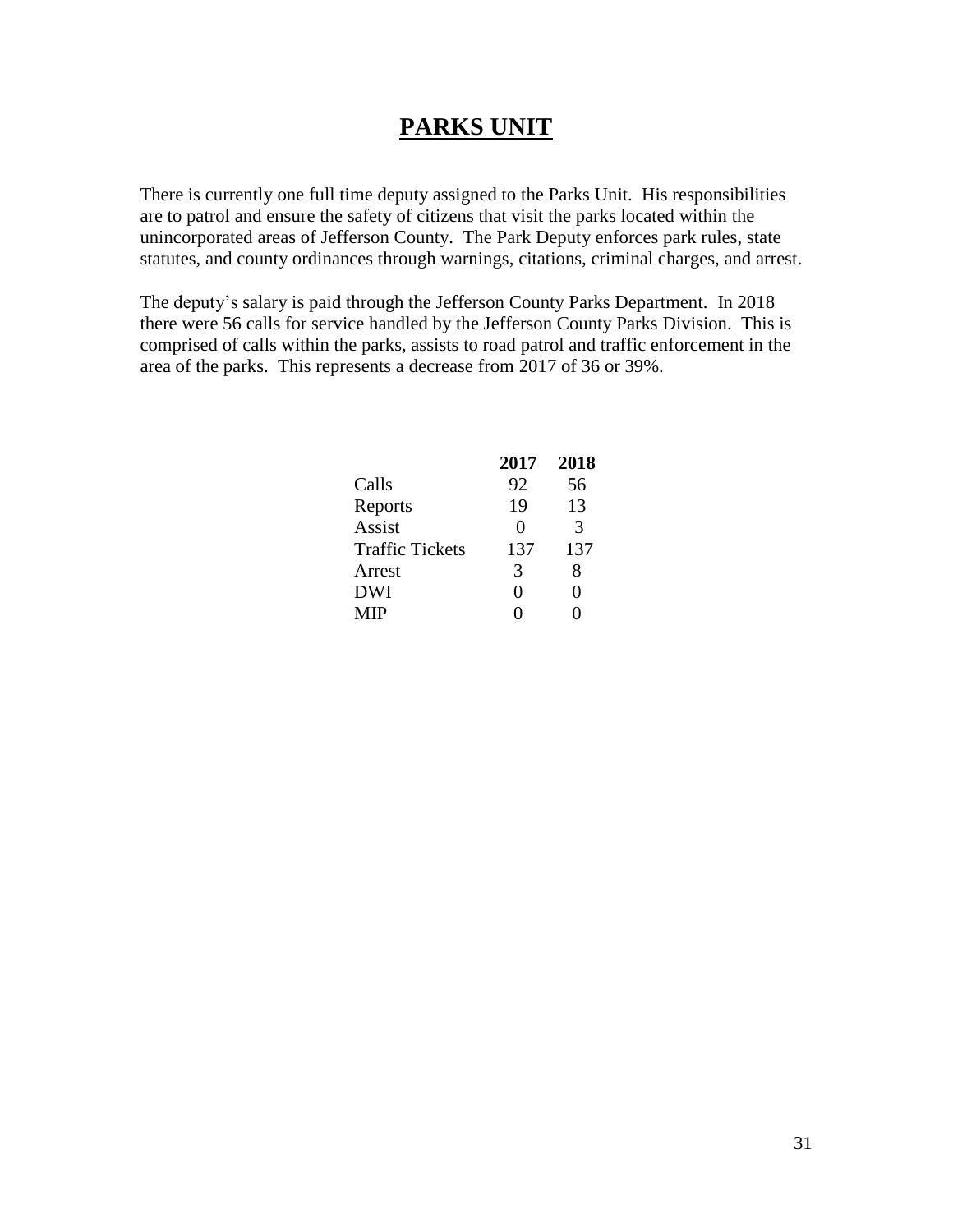#### **PARKS UNIT**

There is currently one full time deputy assigned to the Parks Unit. His responsibilities are to patrol and ensure the safety of citizens that visit the parks located within the unincorporated areas of Jefferson County. The Park Deputy enforces park rules, state statutes, and county ordinances through warnings, citations, criminal charges, and arrest.

The deputy's salary is paid through the Jefferson County Parks Department. In 2018 there were 56 calls for service handled by the Jefferson County Parks Division. This is comprised of calls within the parks, assists to road patrol and traffic enforcement in the area of the parks. This represents a decrease from 2017 of 36 or 39%.

|                        | 2017              | 2018              |
|------------------------|-------------------|-------------------|
| Calls                  | 92                | 56                |
| Reports                | 19                | 13                |
| Assist                 | $\mathbf{\Omega}$ | $\mathcal{R}$     |
| <b>Traffic Tickets</b> | 137               | 137               |
| Arrest                 | 3                 | 8                 |
| <b>DWI</b>             | 0                 | $\mathbf{\Omega}$ |
| <b>MIP</b>             |                   |                   |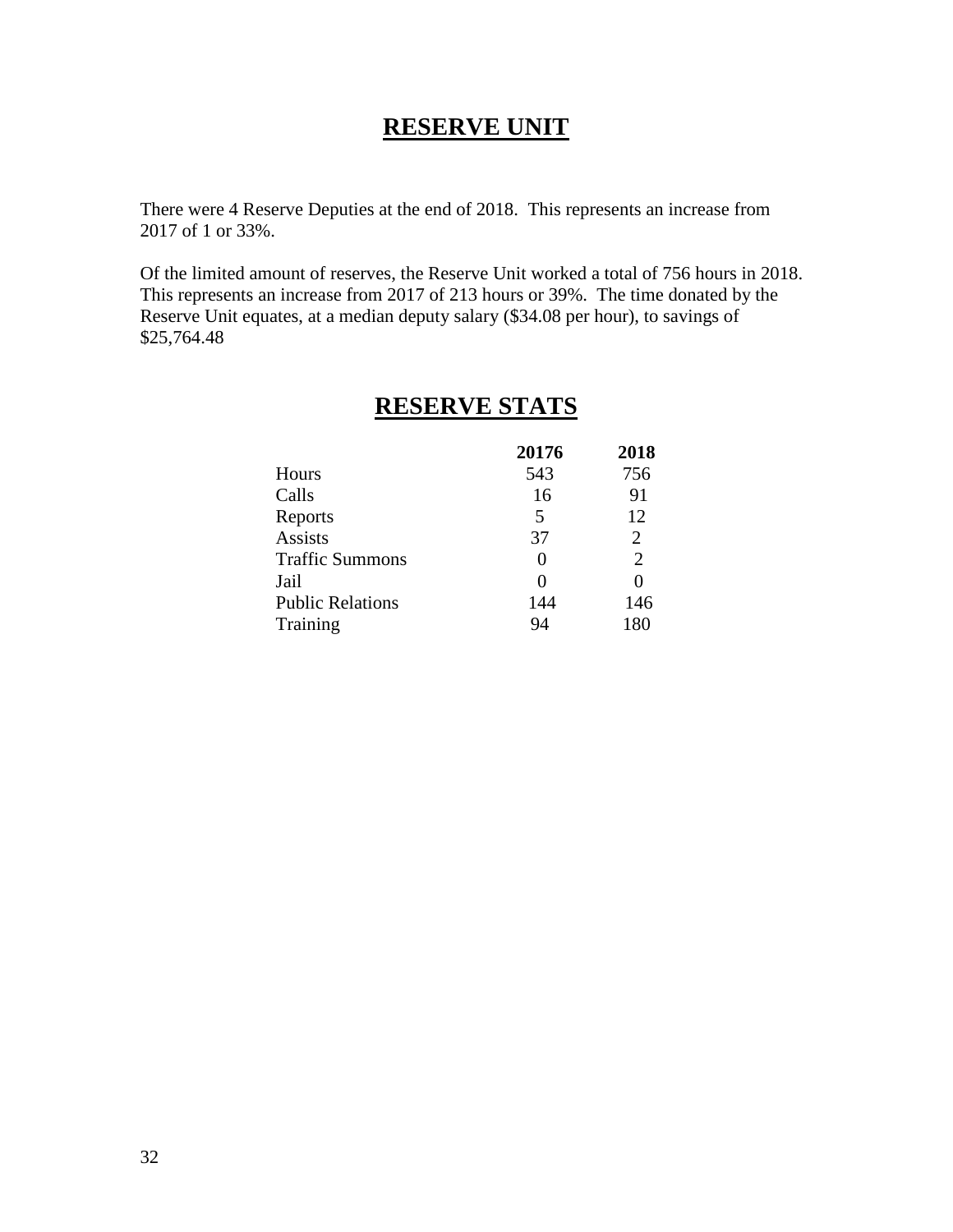#### **RESERVE UNIT**

There were 4 Reserve Deputies at the end of 2018. This represents an increase from 2017 of 1 or 33%.

Of the limited amount of reserves, the Reserve Unit worked a total of 756 hours in 2018. This represents an increase from 2017 of 213 hours or 39%. The time donated by the Reserve Unit equates, at a median deputy salary (\$34.08 per hour), to savings of \$25,764.48

|                         | 20176    | 2018           |
|-------------------------|----------|----------------|
| Hours                   | 543      | 756            |
| Calls                   | 16       | 91             |
| Reports                 | 5        | 12             |
| <b>Assists</b>          | 37       | $\overline{2}$ |
| <b>Traffic Summons</b>  | $\theta$ | $\overline{2}$ |
| Jail                    | 0        |                |
| <b>Public Relations</b> | 144      | 146            |
| Training                | 94       | 180            |

#### **RESERVE STATS**